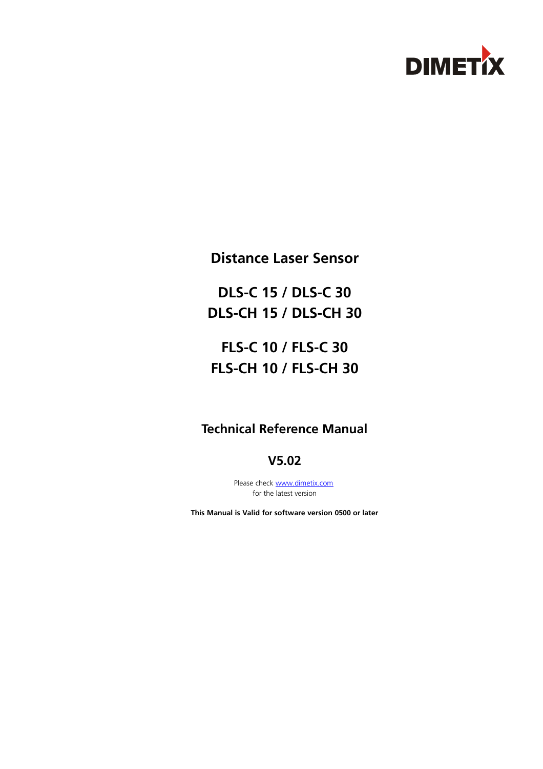

**Distance Laser Sensor**

**DLS-C 15 / DLS-C 30 DLS-CH 15 / DLS-CH 30**

**FLS-C 10 / FLS-C 30 FLS-CH 10 / FLS-CH 30**

# **Technical Reference Manual**

**V5.02**

Please check [www.dimetix.com](http://www.dimetix.com/) for the latest version

**This Manual is Valid for software version 0500 or later**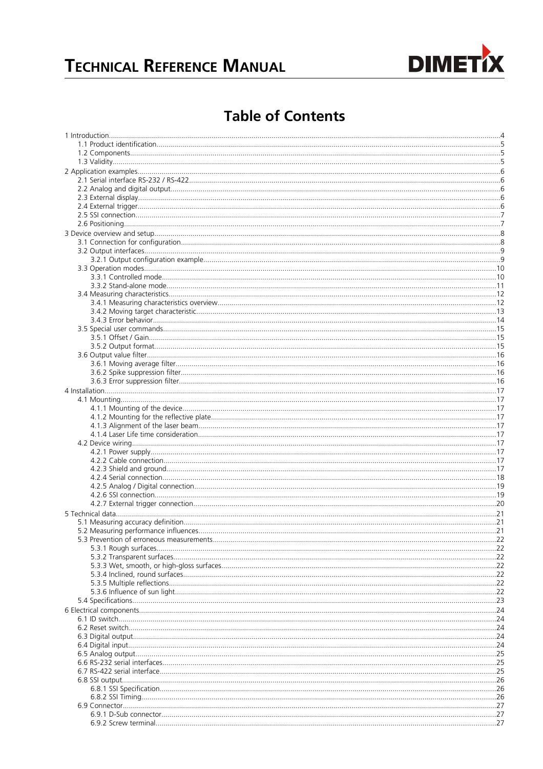

# **Table of Contents**

| . 22               |
|--------------------|
| $\dots$ 23         |
| .24                |
|                    |
|                    |
| . 24               |
|                    |
|                    |
| . 25               |
|                    |
| . 25               |
| . 26               |
| $\dots$ 26         |
|                    |
|                    |
| $\dots$ 27<br>. 27 |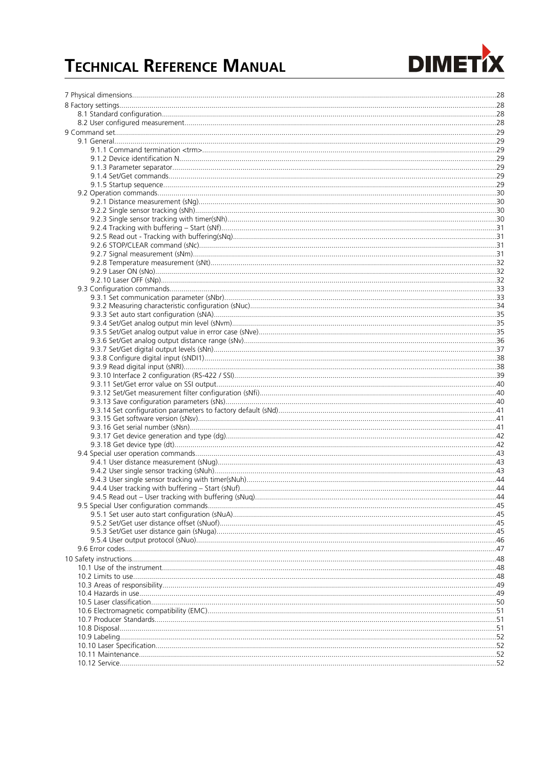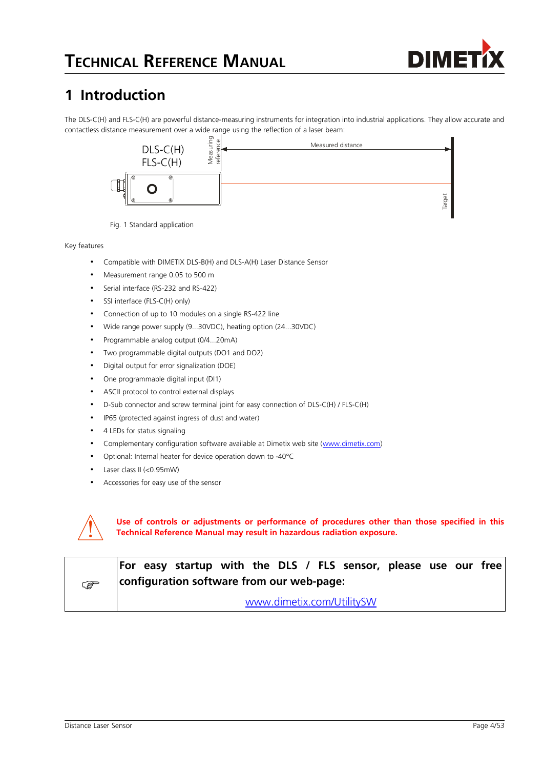

# **1 Introduction**

The DLS-C(H) and FLS-C(H) are powerful distance-measuring instruments for integration into industrial applications. They allow accurate and contactless distance measurement over a wide range using the reflection of a laser beam:



Fig. 1 Standard application

Key features

- Compatible with DIMETIX DLS-B(H) and DLS-A(H) Laser Distance Sensor
- Measurement range 0.05 to 500 m
- Serial interface (RS-232 and RS-422)
- SSI interface (FLS-C(H) only)
- Connection of up to 10 modules on a single RS-422 line
- Wide range power supply (9...30VDC), heating option (24...30VDC)
- Programmable analog output (0/4...20mA)
- Two programmable digital outputs (DO1 and DO2)
- Digital output for error signalization (DOE)
- One programmable digital input (DI1)
- ASCII protocol to control external displays
- D-Sub connector and screw terminal joint for easy connection of DLS-C(H) / FLS-C(H)
- IP65 (protected against ingress of dust and water)
- 4 LEDs for status signaling
- Complementary configuration software available at Dimetix web site [\(www.dimetix.com\)](http://www.dimetix.com/)
- Optional: Internal heater for device operation down to -40°C
- Laser class II (<0.95mW)
- Accessories for easy use of the sensor



**Use of controls or adjustments or performance of procedures other than those specified in this Technical Reference Manual may result in hazardous radiation exposure.**

|   | For easy startup with the DLS / FLS sensor, please use our free |  |
|---|-----------------------------------------------------------------|--|
| අ | configuration software from our web-page:                       |  |
|   | www.dimetix.com/UtilitySW                                       |  |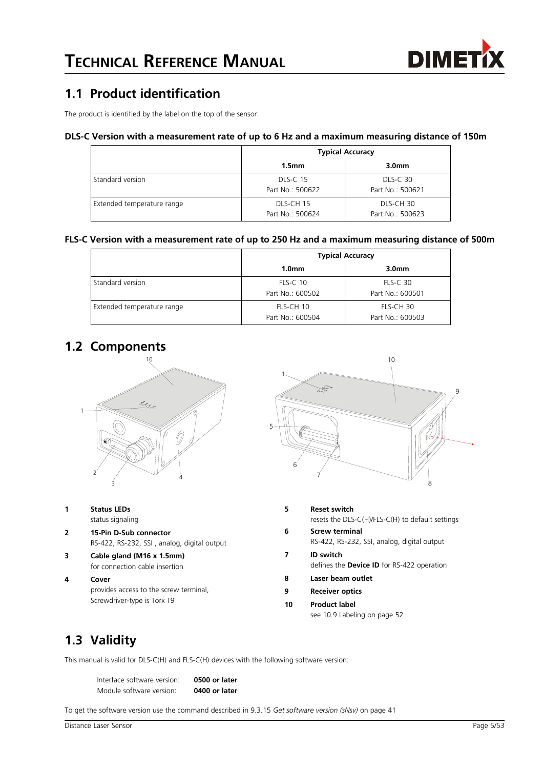

### **1.1 Product identification**

The product is identified by the label on the top of the sensor:

#### **DLS-C Version with a measurement rate of up to 6 Hz and a maximum measuring distance of 150m**

|                            | <b>Typical Accuracy</b>             |                                     |  |  |  |
|----------------------------|-------------------------------------|-------------------------------------|--|--|--|
|                            | 1.5 <sub>mm</sub>                   | 3.0 <sub>mm</sub>                   |  |  |  |
| Standard version           | <b>DLS-C 15</b><br>Part No.: 500622 | <b>DLS-C 30</b><br>Part No.: 500621 |  |  |  |
| Extended temperature range | DLS-CH 15<br>Part No.: 500624       | DLS-CH 30<br>Part No.: 500623       |  |  |  |

#### **FLS-C Version with a measurement rate of up to 250 Hz and a maximum measuring distance of 500m**

|                            | <b>Typical Accuracy</b>             |                                     |  |  |  |
|----------------------------|-------------------------------------|-------------------------------------|--|--|--|
|                            | 1.0 <sub>mm</sub>                   | 3.0 <sub>mm</sub>                   |  |  |  |
| Standard version           | <b>FLS-C 10</b><br>Part No.: 600502 | <b>FLS-C 30</b><br>Part No.: 600501 |  |  |  |
| Extended temperature range | FLS-CH 10<br>Part No.: 600504       | FLS-CH 30<br>Part No.: 600503       |  |  |  |

### **1.2 Components**



- **1 Status LEDs**
	- status signaling
- **2 15-Pin D-Sub connector** RS-422, RS-232, SSI , analog, digital output
- **3 Cable gland (M16 x 1.5mm)** for connection cable insertion
- **4 Cover** provides access to the screw terminal, Screwdriver-type is Torx T9



- **5 Reset switch** resets the DLS-C(H)/FLS-C(H) to default settings **6 Screw terminal** RS-422, RS-232, SSI, analog, digital output **7 ID switch** defines the **Device ID** for RS-422 operation
- **8 Laser beam outlet**
- **9 Receiver optics**
- **10 Product label**

see [10.9](#page-51-0) [Labeling](#page-51-0) on page [52](#page-51-0)

# **1.3 Validity**

This manual is valid for DLS-C(H) and FLS-C(H) devices with the following software version:

Interface software version: **0500 or later** Module software version: **0400 or later**

To get the software version use the command described in [9.3.15](#page-40-0) *[Get software version \(sNsv\)](#page-40-0)* on page [41](#page-40-0)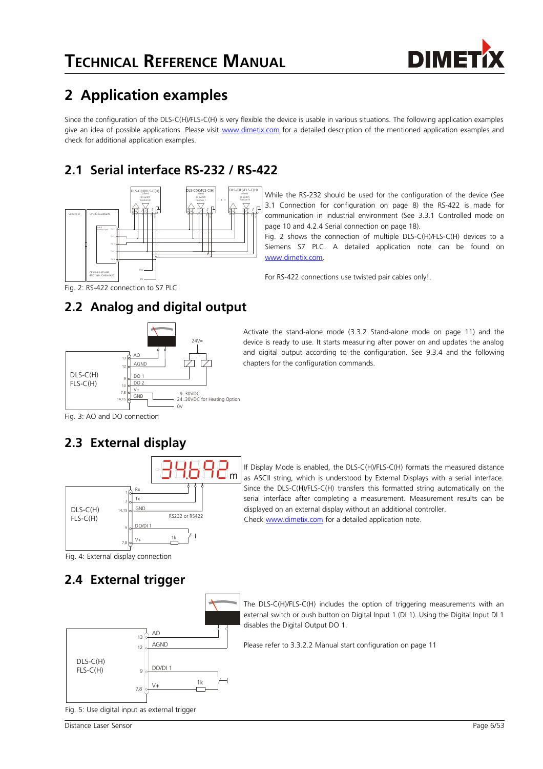

# **2 Application examples**

Since the configuration of the DLS-C(H)/FLS-C(H) is very flexible the device is usable in various situations. The following application examples give an idea of possible applications. Please visit [www.dimetix.com](http://www.dimetix.com/) for a detailed description of the mentioned application examples and check for additional application examples.

# **2.1 Serial interface RS-232 / RS-422**



While the RS-232 should be used for the configuration of the device (See [3.1](#page-7-0) [Connection for configuration](#page-7-0) on page [8\)](#page-7-0) the RS-422 is made for communication in industrial environment (See [3.3.1](#page-9-0) [Controlled mode](#page-9-0) on page [10](#page-9-0) and [4.2.4](#page-17-0) [Serial connection](#page-17-0) on page [18\)](#page-17-0).

Fig. [2](#page-5-0) shows the connection of multiple DLS-C(H)/FLS-C(H) devices to a Siemens S7 PLC. A detailed application note can be found on [www.dimetix.com.](http://www.dimetix.com/)

For RS-422 connections use twisted pair cables only!.

<span id="page-5-0"></span>Fig. 2: RS-422 connection to S7 PLC

# **2.2 Analog and digital output**



Activate the stand-alone mode [\(3.3.2](#page-10-1) [Stand-alone mode](#page-10-1) on page [11\)](#page-10-1) and the device is ready to use. It starts measuring after power on and updates the analog and digital output according to the configuration. See [9.3.4](#page-34-0) and the following chapters for the configuration commands.

Fig. 3: AO and DO connection

# <span id="page-5-1"></span>**2.3 External display**



If Display Mode is enabled, the DLS-C(H)/FLS-C(H) formats the measured distance as ASCII string, which is understood by External Displays with a serial interface. Since the DLS-C(H)/FLS-C(H) transfers this formatted string automatically on the serial interface after completing a measurement. Measurement results can be displayed on an external display without an additional controller. Check [www.dimetix.com](http://www.dimetix.com/) for a detailed application note.

The DLS-C(H)/FLS-C(H) includes the option of triggering measurements with an external switch or push button on Digital Input 1 (DI 1). Using the Digital Input DI 1

Fig. 4: External display connection

# **2.4 External trigger**



Fig. 5: Use digital input as external trigger

Please refer to [3.3.2.2](#page-10-0) [Manual start configuration](#page-10-0) on page [11](#page-10-0)

disables the Digital Output DO 1.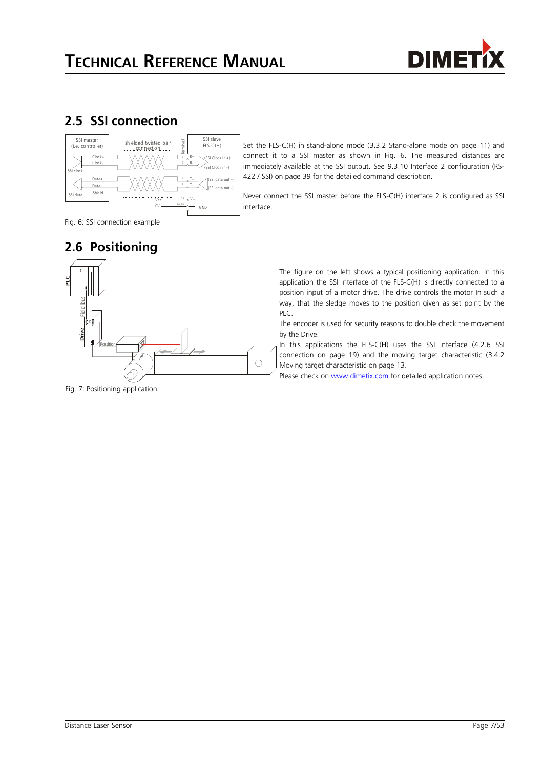

### **2.5 SSI connection**



Set the FLS-C(H) in stand-alone mode [\(3.3.2](#page-10-1) [Stand-alone mode](#page-10-1) on page [11\)](#page-10-1) and connect it to a SSI master as shown in Fig. [6.](#page-6-0) The measured distances are immediately available at the SSI output. See [9.3.10](#page-38-0) [Interface 2 configuration \(RS-](#page-38-0)[422 / SSI\)](#page-38-0) on page [39](#page-38-0) for the detailed command description.

Never connect the SSI master before the FLS-C(H) interface 2 is configured as SSI interface.

<span id="page-6-0"></span>Fig. 6: SSI connection example

## <span id="page-6-1"></span>**2.6 Positioning**



Fig. 7: Positioning application

The figure on the left shows a typical positioning application. In this application the SSI interface of the FLS-C(H) is directly connected to a position input of a motor drive. The drive controls the motor In such a way, that the sledge moves to the position given as set point by the PLC.

The encoder is used for security reasons to double check the movement by the Drive.

In this applications the FLS-C(H) uses the SSI interface [\(4.2.6](#page-18-0) [SSI](#page-18-0) [connection](#page-18-0) on page [19\)](#page-18-0) and the moving target characteristic [\(3.4.2](#page-12-0) [Moving target characteristic](#page-12-0) on page [13.](#page-12-0)

Please check on [www.dimetix.com](http://www.dimetix.com/) for detailed application notes.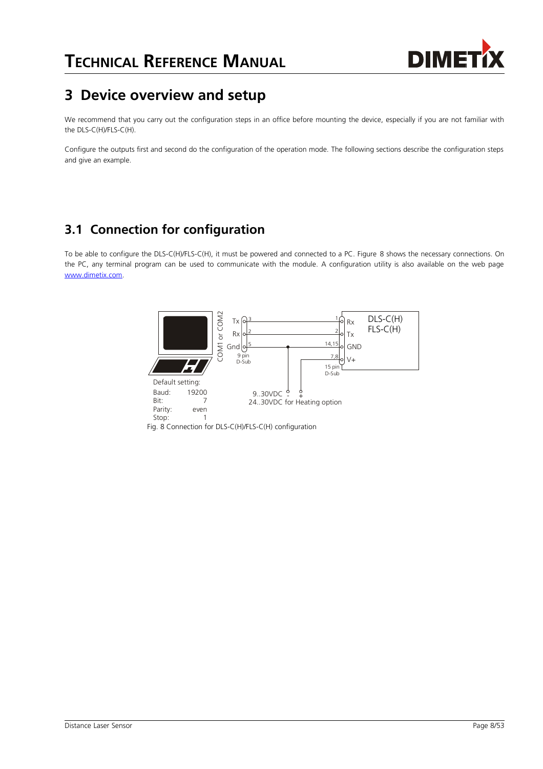

# **3 Device overview and setup**

We recommend that you carry out the configuration steps in an office before mounting the device, especially if you are not familiar with the DLS-C(H)/FLS-C(H).

Configure the outputs first and second do the configuration of the operation mode. The following sections describe the configuration steps and give an example.

## <span id="page-7-0"></span>**3.1 Connection for configuration**

To be able to configure the DLS-C(H)/FLS-C(H), it must be powered and connected to a PC. Figure [8](#page-7-1) shows the necessary connections. On the PC, any terminal program can be used to communicate with the module. A configuration utility is also available on the web page [www.dimetix.com.](http://www.dimetix.com/)

<span id="page-7-1"></span>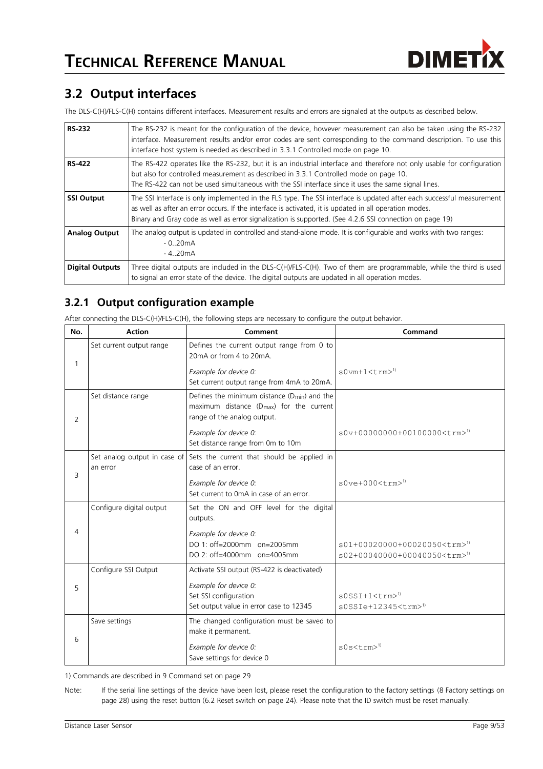

## <span id="page-8-0"></span>**3.2 Output interfaces**

The DLS-C(H)/FLS-C(H) contains different interfaces. Measurement results and errors are signaled at the outputs as described below.

| <b>RS-232</b>          | The RS-232 is meant for the configuration of the device, however measurement can also be taken using the RS-232<br>interface. Measurement results and/or error codes are sent corresponding to the command description. To use this<br>interface host system is needed as described in 3.3.1 Controlled mode on page 10.                   |
|------------------------|--------------------------------------------------------------------------------------------------------------------------------------------------------------------------------------------------------------------------------------------------------------------------------------------------------------------------------------------|
| <b>RS-422</b>          | The RS-422 operates like the RS-232, but it is an industrial interface and therefore not only usable for configuration<br>but also for controlled measurement as described in 3.3.1 Controlled mode on page 10.<br>The RS-422 can not be used simultaneous with the SSI interface since it uses the same signal lines.                     |
| <b>SSI Output</b>      | The SSI Interface is only implemented in the FLS type. The SSI interface is updated after each successful measurement<br>as well as after an error occurs. If the interface is activated, it is updated in all operation modes.<br>Binary and Gray code as well as error signalization is supported. (See 4.2.6 SSI connection on page 19) |
| <b>Analog Output</b>   | The analog output is updated in controlled and stand-alone mode. It is configurable and works with two ranges:<br>$-0.20mA$<br>- 420mA                                                                                                                                                                                                     |
| <b>Digital Outputs</b> | Three digital outputs are included in the DLS-C(H)/FLS-C(H). Two of them are programmable, while the third is used<br>to signal an error state of the device. The digital outputs are updated in all operation modes.                                                                                                                      |

### **3.2.1 Output configuration example**

After connecting the DLS-C(H)/FLS-C(H), the following steps are necessary to configure the output behavior.

| No. | <b>Action</b>            | Comment                                                                                                                                 | Command                                                                                          |
|-----|--------------------------|-----------------------------------------------------------------------------------------------------------------------------------------|--------------------------------------------------------------------------------------------------|
| 1   | Set current output range | Defines the current output range from 0 to<br>20mA or from 4 to 20mA.                                                                   |                                                                                                  |
|     |                          | Example for device 0:<br>Set current output range from 4mA to 20mA.                                                                     | $s0vm+1 < t$ rm $>1$ <sup>1</sup>                                                                |
| 2   | Set distance range       | Defines the minimum distance $(D_{min})$ and the<br>maximum distance (D <sub>max</sub> ) for the current<br>range of the analog output. |                                                                                                  |
|     |                          | Example for device 0:<br>Set distance range from 0m to 10m                                                                              | $s0v+00000000+0010000000\times\text{trm}$ <sup>1)</sup>                                          |
| 3   | an error                 | Set analog output in case of Sets the current that should be applied in<br>case of an error.                                            |                                                                                                  |
|     |                          | Example for device 0:<br>Set current to 0mA in case of an error.                                                                        | $s0ve+000\times$ trm> <sup>1)</sup>                                                              |
|     | Configure digital output | Set the ON and OFF level for the digital<br>outputs.                                                                                    |                                                                                                  |
| 4   |                          | Example for device 0:<br>DO 1: off=2000mm on=2005mm<br>DO 2: off=4000mm on=4005mm                                                       | s01+00020000+00020050 <trm><sup>1)</sup><br/>s02+00040000+00040050<trm><sup>1)</sup></trm></trm> |
|     | Configure SSI Output     | Activate SSI output (RS-422 is deactivated)                                                                                             |                                                                                                  |
| 5   |                          | Example for device 0:<br>Set SSI configuration<br>Set output value in error case to 12345                                               | $s0SSI+1<$ trm $>0$<br>$s0SSIe+12345<$ trm $>1$                                                  |
| 6   | Save settings            | The changed configuration must be saved to<br>make it permanent.                                                                        |                                                                                                  |
|     |                          | Example for device 0:<br>Save settings for device 0                                                                                     | $s0s$ s $\text{trm}$ <sup>1)</sup>                                                               |

1) Commands are described in [9](#page-28-0) [Command set](#page-28-0) on page [29](#page-28-0)

Note: If the serial line settings of the device have been lost, please reset the configuration to the factory settings [\(8](#page-27-0) [Factory settings](#page-27-0) on page [28\)](#page-27-0) using the reset button [\(6.2](#page-23-0) [Reset switch](#page-23-0) on page [24\)](#page-23-0). Please note that the ID switch must be reset manually.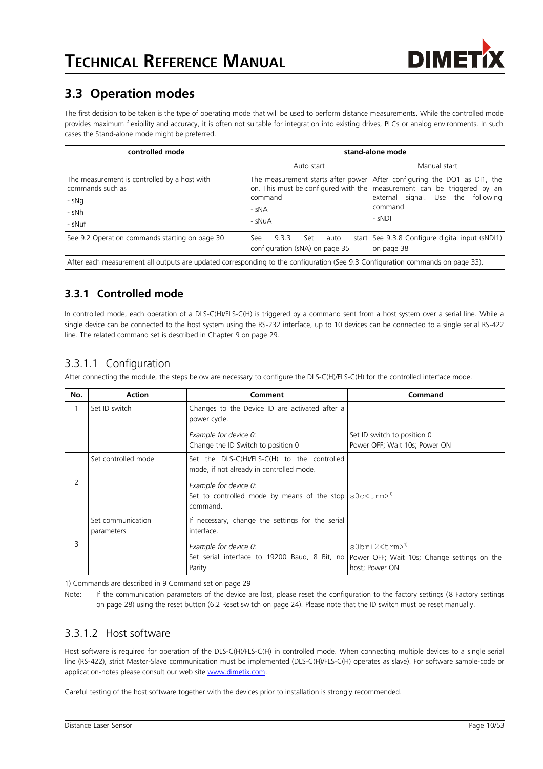

# **3.3 Operation modes**

The first decision to be taken is the type of operating mode that will be used to perform distance measurements. While the controlled mode provides maximum flexibility and accuracy, it is often not suitable for integration into existing drives, PLCs or analog environments. In such cases the Stand-alone mode might be preferred.

| controlled mode                                                                                                                | stand-alone mode                                              |                                                                                                                                                                                                                        |  |  |
|--------------------------------------------------------------------------------------------------------------------------------|---------------------------------------------------------------|------------------------------------------------------------------------------------------------------------------------------------------------------------------------------------------------------------------------|--|--|
|                                                                                                                                | Auto start                                                    | Manual start                                                                                                                                                                                                           |  |  |
| The measurement is controlled by a host with<br>commands such as<br>- sNg<br>- sNh<br>- sNuf                                   | command<br>- sNA<br>- sNuA                                    | The measurement starts after power After configuring the DO1 as DI1, the<br>on. This must be configured with the   measurement can be triggered by an  <br>external signal. Use the<br>following<br>command<br>$-SNDI$ |  |  |
| See 9.2 Operation commands starting on page 30                                                                                 | 9.3.3<br>See<br>Set<br>auto<br>configuration (sNA) on page 35 | start   See 9.3.8 Configure digital input (sNDI1)  <br>on page 38                                                                                                                                                      |  |  |
| After each measurement all outputs are updated corresponding to the configuration (See 9.3 Configuration commands on page 33). |                                                               |                                                                                                                                                                                                                        |  |  |

### <span id="page-9-0"></span>**3.3.1 Controlled mode**

In controlled mode, each operation of a DLS-C(H)/FLS-C(H) is triggered by a command sent from a host system over a serial line. While a single device can be connected to the host system using the RS-232 interface, up to 10 devices can be connected to a single serial RS-422 line. The related command set is described in Chapter [9](#page-28-0) on page [29.](#page-28-0)

### 3.3.1.1 Configuration

After connecting the module, the steps below are necessary to configure the DLS-C(H)/FLS-C(H) for the controlled interface mode.

| No. | <b>Action</b>       | Comment                                                                                   | Command                                                                                          |
|-----|---------------------|-------------------------------------------------------------------------------------------|--------------------------------------------------------------------------------------------------|
|     | Set ID switch       | Changes to the Device ID are activated after a<br>power cycle.                            |                                                                                                  |
|     |                     | Example for device 0:                                                                     | Set ID switch to position 0                                                                      |
|     |                     | Change the ID Switch to position 0                                                        | Power OFF; Wait 10s; Power ON                                                                    |
|     | Set controlled mode | Set the DLS-C(H)/FLS-C(H) to the controlled<br>mode, if not already in controlled mode.   |                                                                                                  |
| 2   |                     | Example for device 0:                                                                     |                                                                                                  |
|     |                     | Set to controlled mode by means of the stop $s0c \leq t$ rm $>$ <sup>1)</sup><br>command. |                                                                                                  |
|     | Set communication   | If necessary, change the settings for the serial                                          |                                                                                                  |
|     | parameters          | interface.                                                                                |                                                                                                  |
| 3   |                     | Example for device 0:<br>Set serial interface to 19200 Baud, 8 Bit, no<br>Parity          | $s0br+2<$ trm $>1$ <sup>1</sup><br>Power OFF; Wait 10s; Change settings on the<br>host; Power ON |

1) Commands are described in [9](#page-28-0) [Command set](#page-28-0) on page [29](#page-28-0)

Note: If the communication parameters of the device are lost, please reset the configuration to the factory settings [\(8](#page-27-0) [Factory settings](#page-27-0) on page [28\)](#page-27-0) using the reset button [\(6.2](#page-23-0) [Reset switch](#page-23-0) on page [24\)](#page-23-0). Please note that the ID switch must be reset manually.

#### 3.3.1.2 Host software

Host software is required for operation of the DLS-C(H)/FLS-C(H) in controlled mode. When connecting multiple devices to a single serial line (RS-422), strict Master-Slave communication must be implemented (DLS-C(H)/FLS-C(H) operates as slave). For software sample-code or application-notes please consult our web site [www.dimetix.com.](http://www.dimetix.com/)

Careful testing of the host software together with the devices prior to installation is strongly recommended.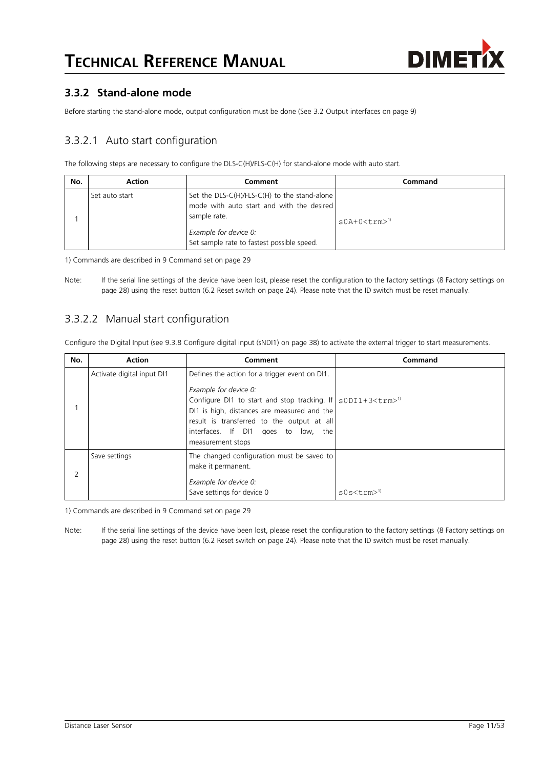

#### <span id="page-10-1"></span>**3.3.2 Stand-alone mode**

Before starting the stand-alone mode, output configuration must be done (See [3.2](#page-8-0) [Output interfaces](#page-8-0) on page [9\)](#page-8-0)

#### <span id="page-10-2"></span>3.3.2.1 Auto start configuration

The following steps are necessary to configure the DLS-C(H)/FLS-C(H) for stand-alone mode with auto start.

| No. | <b>Action</b>  | Comment                                                                                                                                                                            | Command                            |
|-----|----------------|------------------------------------------------------------------------------------------------------------------------------------------------------------------------------------|------------------------------------|
|     | Set auto start | Set the $DIS-C(H)/FLS-C(H)$ to the stand-alone<br>mode with auto start and with the desired<br>sample rate.<br>Example for device 0:<br>Set sample rate to fastest possible speed. | $s0A+0 \lt t$ rm $>1$ <sup>1</sup> |

1) Commands are described in [9](#page-28-0) [Command set](#page-28-0) on page [29](#page-28-0)

Note: If the serial line settings of the device have been lost, please reset the configuration to the factory settings [\(8](#page-27-0) [Factory settings](#page-27-0) on page [28\)](#page-27-0) using the reset button [\(6.2](#page-23-0) [Reset switch](#page-23-0) on page [24\)](#page-23-0). Please note that the ID switch must be reset manually.

#### <span id="page-10-0"></span>3.3.2.2 Manual start configuration

Configure the Digital Input (see [9.3.8](#page-37-0) [Configure digital input \(sNDI1\)](#page-37-0) on page [38\)](#page-37-0) to activate the external trigger to start measurements.

| No. | <b>Action</b>              | Comment                                                                                                                                                                                                                                                                                                | Command                        |
|-----|----------------------------|--------------------------------------------------------------------------------------------------------------------------------------------------------------------------------------------------------------------------------------------------------------------------------------------------------|--------------------------------|
|     | Activate digital input DI1 | Defines the action for a trigger event on DI1.<br>Example for device 0:<br>Configure DI1 to start and stop tracking. If $\sim$ s0DI1+3 < trm><br>DI1 is high, distances are measured and the<br>result is transferred to the output at all<br>interfaces. If DI1 goes to low, the<br>measurement stops |                                |
|     | Save settings              | The changed configuration must be saved to<br>make it permanent.<br>Example for device 0:<br>Save settings for device 0                                                                                                                                                                                | $s0s < t$ rm $>1$ <sup>0</sup> |

1) Commands are described in [9](#page-28-0) [Command set](#page-28-0) on page [29](#page-28-0)

Note: If the serial line settings of the device have been lost, please reset the configuration to the factory settings [\(8](#page-27-0) [Factory settings](#page-27-0) on page [28\)](#page-27-0) using the reset button [\(6.2](#page-23-0) [Reset switch](#page-23-0) on page [24\)](#page-23-0). Please note that the ID switch must be reset manually.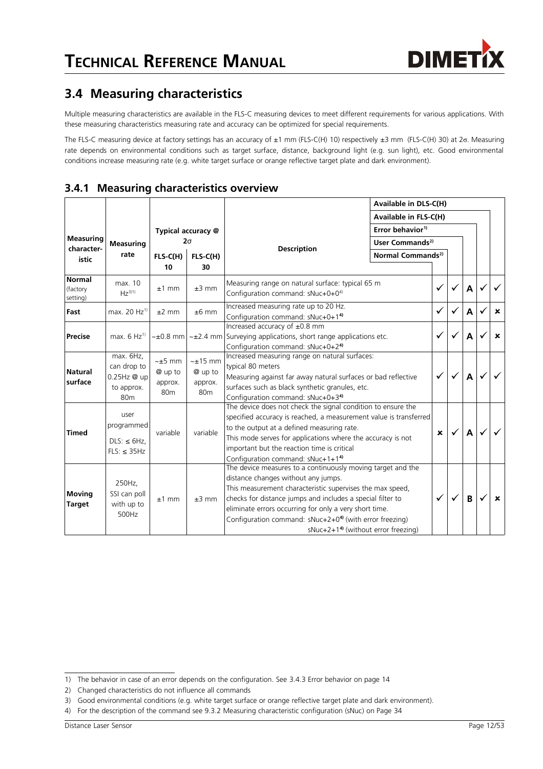## <span id="page-11-4"></span>**3.4 Measuring characteristics**

Multiple measuring characteristics are available in the FLS-C measuring devices to meet different requirements for various applications. With these measuring characteristics measuring rate and accuracy can be optimized for special requirements.

The FLS-C measuring device at factory settings has an accuracy of ±1 mm (FLS-C(H) 10) respectively ±3 mm (FLS-C(H) 30) at 2σ. Measuring rate depends on environmental conditions such as target surface, distance, background light (e.g. sun light), etc. Good environmental conditions increase measuring rate (e.g. white target surface or orange reflective target plate and dark environment).

|                                       |                                                                          |                                                  |                                                     |                                                                                                                                                                                                                                                                                                                                                                                                                   | Available in DLS-C(H)<br>Available in FLS-C(H) |              |   |                           |
|---------------------------------------|--------------------------------------------------------------------------|--------------------------------------------------|-----------------------------------------------------|-------------------------------------------------------------------------------------------------------------------------------------------------------------------------------------------------------------------------------------------------------------------------------------------------------------------------------------------------------------------------------------------------------------------|------------------------------------------------|--------------|---|---------------------------|
|                                       |                                                                          |                                                  |                                                     |                                                                                                                                                                                                                                                                                                                                                                                                                   |                                                |              |   |                           |
|                                       |                                                                          |                                                  | Typical accuracy @                                  | Error behavior <sup>1)</sup>                                                                                                                                                                                                                                                                                                                                                                                      |                                                |              |   |                           |
| <b>Measuring</b>                      | <b>Measuring</b>                                                         |                                                  | $2\sigma$                                           | User Commands <sup>2)</sup>                                                                                                                                                                                                                                                                                                                                                                                       |                                                |              |   |                           |
| character-<br>rate<br>istic           | $FLS-C(H)$<br>10                                                         | $FLS-C(H)$<br>30                                 | <b>Description</b><br>Normal Commands <sup>2)</sup> |                                                                                                                                                                                                                                                                                                                                                                                                                   |                                                |              |   |                           |
| <b>Normal</b><br>(factory<br>setting) | max. 10<br>$Hz^{3(1)}$                                                   | $±1$ mm                                          | $±3$ mm                                             | Measuring range on natural surface: typical 65 m<br>Configuration command: sNuc+0+0 <sup>4)</sup>                                                                                                                                                                                                                                                                                                                 | ✓                                              | ✓            | A |                           |
| Fast                                  | max. 20 Hz <sup>1)</sup>                                                 | $±2$ mm                                          | $±6$ mm                                             | Increased measuring rate up to 20 Hz.<br>Configuration command: sNuc+0+14)                                                                                                                                                                                                                                                                                                                                        | ✓                                              | $\checkmark$ | A | $\boldsymbol{\mathsf{x}}$ |
| <b>Precise</b>                        | max. $6$ Hz <sup>1)</sup>                                                |                                                  |                                                     | Increased accuracy of ±0.8 mm<br>$\sim\pm0.8$ mm $\sim\pm2.4$ mm Surveying applications, short range applications etc.<br>Configuration command: sNuc+0+2 <sup>4)</sup>                                                                                                                                                                                                                                           | ✓                                              | ✓            | A | $\mathbf x$               |
| <b>Natural</b><br>surface             | max. 6Hz,<br>can drop to<br>0.25Hz @ up<br>to approx.<br>80 <sub>m</sub> | $~1$ mm<br>@ up to<br>approx.<br>80 <sub>m</sub> | $~15$ mm<br>@ up to<br>approx.<br>80 <sub>m</sub>   | Increased measuring range on natural surfaces:<br>typical 80 meters<br>Measuring against far away natural surfaces or bad reflective<br>surfaces such as black synthetic granules, etc.<br>Configuration command: sNuc+0+34)                                                                                                                                                                                      | $\checkmark$                                   |              | A |                           |
| <b>Timed</b>                          | user<br>programmed<br>$DLS: \leq 6Hz$ ,<br>$FLS: \leq 35Hz$              | variable                                         | variable                                            | The device does not check the signal condition to ensure the<br>specified accuracy is reached, a measurement value is transferred<br>to the output at a defined measuring rate.<br>This mode serves for applications where the accuracy is not<br>important but the reaction time is critical<br>Configuration command: sNuc+1+1 <sup>4)</sup>                                                                    | $\boldsymbol{\mathsf{x}}$                      |              | A |                           |
| <b>Moving</b><br><b>Target</b>        | 250Hz,<br>SSI can poll<br>with up to<br>500Hz                            | $±1$ mm                                          | $±3$ mm                                             | The device measures to a continuously moving target and the<br>distance changes without any jumps.<br>This measurement characteristic supervises the max speed,<br>checks for distance jumps and includes a special filter to<br>eliminate errors occurring for only a very short time.<br>Configuration command: sNuc+2+0 <sup>4)</sup> (with error freezing)<br>sNuc+2+1 <sup>4)</sup> (without error freezing) | ✓                                              | $\checkmark$ | B | x                         |

**3.4.1 Measuring characteristics overview**

<span id="page-11-0"></span><sup>1)</sup> The behavior in case of an error depends on the configuration. See [3.4.3](#page-13-0) [Error behavior](#page-13-0) on page [14](#page-13-0)

<span id="page-11-1"></span><sup>2)</sup> Changed characteristics do not influence all commands

<span id="page-11-2"></span><sup>3)</sup> Good environmental conditions (e.g. white target surface or orange reflective target plate and dark environment).

<span id="page-11-3"></span><sup>4)</sup> For the description of the command see [9.3.2](#page-33-0) [Measuring characteristic configuration \(sNuc\)](#page-33-0) on Page [34](#page-33-0)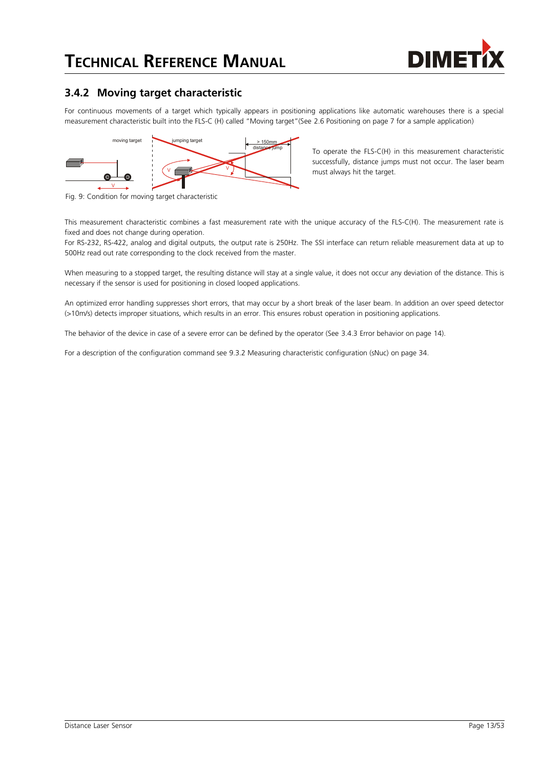

#### <span id="page-12-0"></span>**3.4.2 Moving target characteristic**

For continuous movements of a target which typically appears in positioning applications like automatic warehouses there is a special measurement characteristic built into the FLS-C (H) called "Moving target"(See [2.6](#page-6-1) [Positioning](#page-6-1) on page [7](#page-6-1) for a sample application)



To operate the FLS-C(H) in this measurement characteristic successfully, distance jumps must not occur. The laser beam must always hit the target.

Fig. 9: Condition for moving target characteristic

This measurement characteristic combines a fast measurement rate with the unique accuracy of the FLS-C(H). The measurement rate is fixed and does not change during operation.

For RS-232, RS-422, analog and digital outputs, the output rate is 250Hz. The SSI interface can return reliable measurement data at up to 500Hz read out rate corresponding to the clock received from the master.

When measuring to a stopped target, the resulting distance will stay at a single value, it does not occur any deviation of the distance. This is necessary if the sensor is used for positioning in closed looped applications.

An optimized error handling suppresses short errors, that may occur by a short break of the laser beam. In addition an over speed detector (>10m/s) detects improper situations, which results in an error. This ensures robust operation in positioning applications.

The behavior of the device in case of a severe error can be defined by the operator (See [3.4.3](#page-13-0) [Error behavior](#page-13-0) on page [14\)](#page-13-0).

For a description of the configuration command see [9.3.2](#page-33-0) [Measuring characteristic configuration \(sNuc\)](#page-33-0) on page [34.](#page-33-0)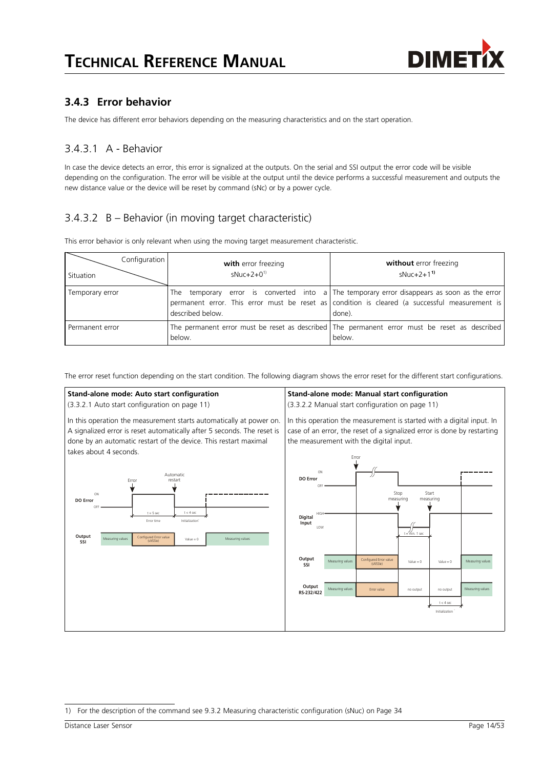

#### <span id="page-13-0"></span>**3.4.3 Error behavior**

The device has different error behaviors depending on the measuring characteristics and on the start operation.

#### 3.4.3.1 A - Behavior

In case the device detects an error, this error is signalized at the outputs. On the serial and SSI output the error code will be visible depending on the configuration. The error will be visible at the output until the device performs a successful measurement and outputs the new distance value or the device will be reset by command (sNc) or by a power cycle.

### 3.4.3.2 B – Behavior (in moving target characteristic)

This error behavior is only relevant when using the moving target measurement characteristic.

| Configuration<br><b>Situation</b> | with error freezing<br>$sNuc+2+0^{1}$ | without error freezing<br>$sNuc+2+11$                                                                                                                                                                   |
|-----------------------------------|---------------------------------------|---------------------------------------------------------------------------------------------------------------------------------------------------------------------------------------------------------|
| Temporary error                   | described below.                      | The temporary error is converted into a The temporary error disappears as soon as the error<br>permanent error. This error must be reset as condition is cleared (a successful measurement is<br>done). |
| Permanent error                   | below.                                | The permanent error must be reset as described The permanent error must be reset as described<br>below.                                                                                                 |

The error reset function depending on the start condition. The following diagram shows the error reset for the different start configurations.



<span id="page-13-1"></span><sup>1)</sup> For the description of the command see [9.3.2](#page-33-0) [Measuring characteristic configuration \(sNuc\)](#page-33-0) on Page [34](#page-33-0)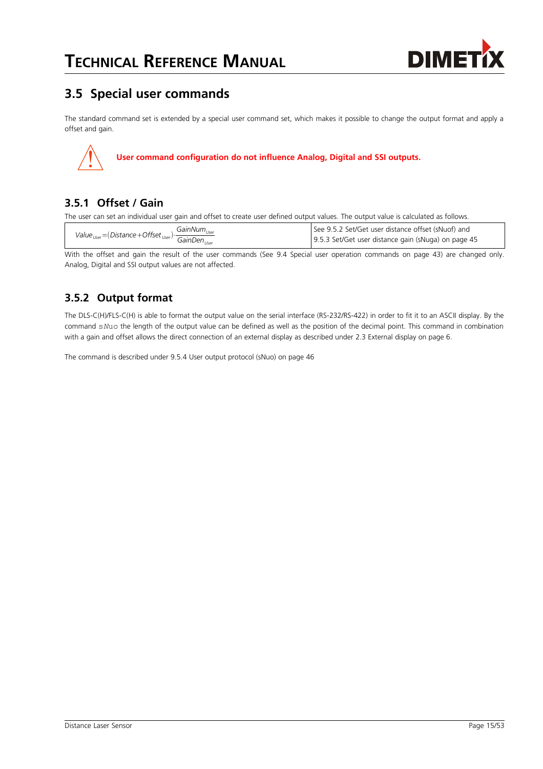

# **3.5 Special user commands**

The standard command set is extended by a special user command set, which makes it possible to change the output format and apply a offset and gain.



#### <span id="page-14-0"></span>**3.5.1 Offset / Gain**

The user can set an individual user gain and offset to create user defined output values. The output value is calculated as follows.

|                                                                                                | $GainNum_{user}$ | See 9.5.2 Set/Get user distance offset (sNuof) and  |  |  |
|------------------------------------------------------------------------------------------------|------------------|-----------------------------------------------------|--|--|
| Value <sub>User</sub> = (Distance + Offset <sub>User</sub> ) $\frac{5}{\text{GainDen}_{lser}}$ |                  | 9.5.3 Set/Get user distance gain (sNuga) on page 45 |  |  |

With the offset and gain the result of the user commands (See [9.4](#page-42-0) [Special user operation commands](#page-42-0) on page [43\)](#page-42-0) are changed only. Analog, Digital and SSI output values are not affected.

### <span id="page-14-1"></span>**3.5.2 Output format**

The DLS-C(H)/FLS-C(H) is able to format the output value on the serial interface (RS-232/RS-422) in order to fit it to an ASCII display. By the command s*N*uo the length of the output value can be defined as well as the position of the decimal point. This command in combination with a gain and offset allows the direct connection of an external display as described under [2.3](#page-5-1) [External display](#page-5-1) on page [6.](#page-5-1)

The command is described under [9.5.4](#page-45-0) [User output protocol \(sNuo\)](#page-45-0) on page [46](#page-45-0)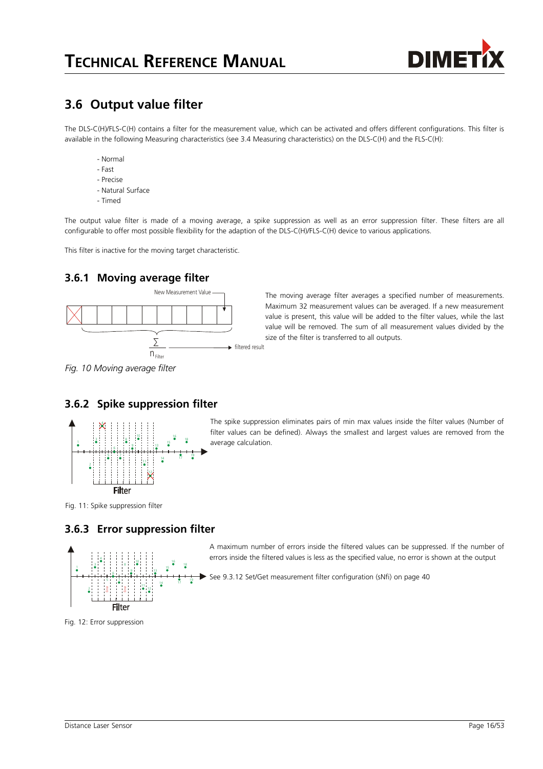

### <span id="page-15-0"></span>**3.6 Output value filter**

The DLS-C(H)/FLS-C(H) contains a filter for the measurement value, which can be activated and offers different configurations. This filter is available in the following Measuring characteristics (see [3.4](#page-11-4) [Measuring characteristics\)](#page-11-4) on the DLS-C(H) and the FLS-C(H):

- Normal
- Fast
- Precise
- Natural Surface
- Timed

The output value filter is made of a moving average, a spike suppression as well as an error suppression filter. These filters are all configurable to offer most possible flexibility for the adaption of the DLS-C(H)/FLS-C(H) device to various applications.

This filter is inactive for the moving target characteristic.

#### **3.6.1 Moving average filter**



*Fig. 10 Moving average filter*

#### **3.6.2 Spike suppression filter**



The spike suppression eliminates pairs of min max values inside the filter values (Number of filter values can be defined). Always the smallest and largest values are removed from the average calculation.

A maximum number of errors inside the filtered values can be suppressed. If the number of errors inside the filtered values is less as the specified value, no error is shown at the output

size of the filter is transferred to all outputs.

The moving average filter averages a specified number of measurements. Maximum 32 measurement values can be averaged. If a new measurement value is present, this value will be added to the filter values, while the last value will be removed. The sum of all measurement values divided by the

#### Fig. 11: Spike suppression filter

#### **3.6.3 Error suppression filter**



See [9.3.12](#page-39-0) [Set/Get measurement filter configuration \(sNfi\)](#page-39-0) on page [40](#page-39-0)

Fig. 12: Error suppression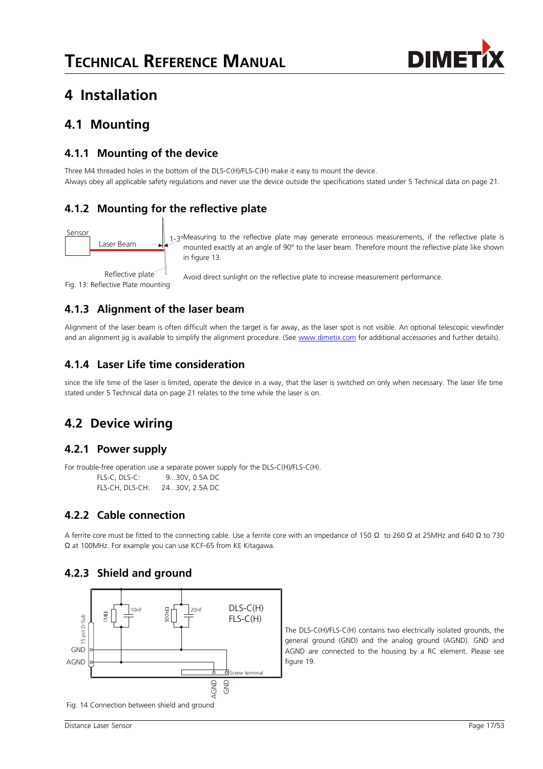

# **4 Installation**

### **4.1 Mounting**

#### **4.1.1 Mounting of the device**

Three M4 threaded holes in the bottom of the DLS-C(H)/FLS-C(H) make it easy to mount the device. Always obey all applicable safety regulations and never use the device outside the specifications stated under [5](#page-20-0) [Technical data](#page-20-0) on page [21.](#page-20-0)

### **4.1.2 Mounting for the reflective plate**



<span id="page-16-0"></span>Fig. 13: Reflective Plate mounting

1-3°Measuring to the reflective plate may generate erroneous measurements, if the reflective plate is mounted exactly at an angle of 90° to the laser beam. Therefore mount the reflective plate like shown in figure [13.](#page-16-0)

Avoid direct sunlight on the reflective plate to increase measurement performance.

### **4.1.3 Alignment of the laser beam**

Alignment of the laser beam is often difficult when the target is far away, as the laser spot is not visible. An optional telescopic viewfinder and an alignment jig is available to simplify the alignment procedure. (See [www.dimetix.com](http://www.dimetix.com/) for additional accessories and further details).

### <span id="page-16-2"></span>**4.1.4 Laser Life time consideration**

since the life time of the laser is limited, operate the device in a way, that the laser is switched on only when necessary. The laser life time stated under [5](#page-20-0) [Technical data](#page-20-0) on page [21](#page-20-0) relates to the time while the laser is on.

# **4.2 Device wiring**

#### **4.2.1 Power supply**

For trouble-free operation use a separate power supply for the DLS-C(H)/FLS-C(H).

FLS-C, DLS-C: 9...30V, 0.5A DC FLS-CH, DLS-CH: 24...30V, 2.5A DC

### **4.2.2 Cable connection**

A ferrite core must be fitted to the connecting cable. Use a ferrite core with an impedance of 150 Ω to 260 Ω at 25MHz and 640 Ω to 730 Ω at 100MHz. For example you can use KCF-65 from KE Kitagawa.

#### <span id="page-16-1"></span>**4.2.3 Shield and ground**



The DLS-C(H)/FLS-C(H) contains two electrically isolated grounds, the general ground (GND) and the analog ground (AGND). GND and AGND are connected to the housing by a RC element. Please see figure [19.](#page-19-0)

Fig. 14 Connection between shield and ground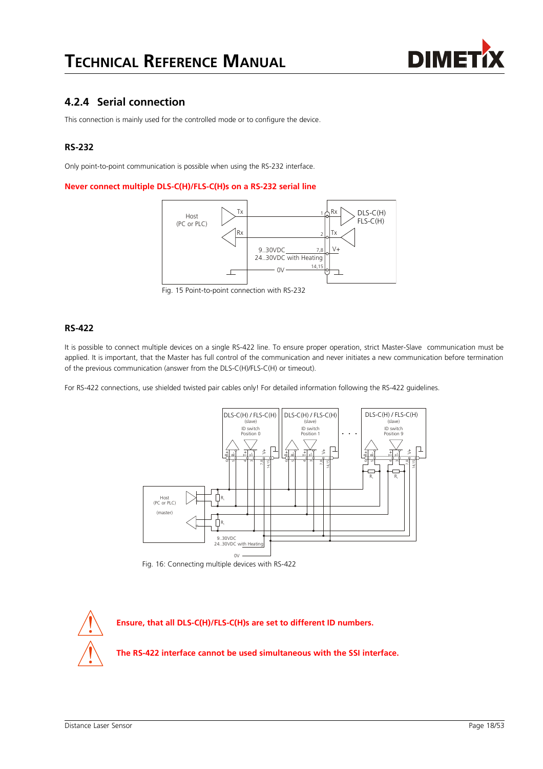

#### <span id="page-17-0"></span>**4.2.4 Serial connection**

This connection is mainly used for the controlled mode or to configure the device.

#### **RS-232**

Only point-to-point communication is possible when using the RS-232 interface.

#### **Never connect multiple DLS-C(H)/FLS-C(H)s on a RS-232 serial line**



Fig. 15 Point-to-point connection with RS-232

#### **RS-422**

It is possible to connect multiple devices on a single RS-422 line. To ensure proper operation, strict Master-Slave communication must be applied. It is important, that the Master has full control of the communication and never initiates a new communication before termination of the previous communication (answer from the DLS-C(H)/FLS-C(H) or timeout).

For RS-422 connections, use shielded twisted pair cables only! For detailed information following the RS-422 guidelines.



Fig. 16: Connecting multiple devices with RS-422

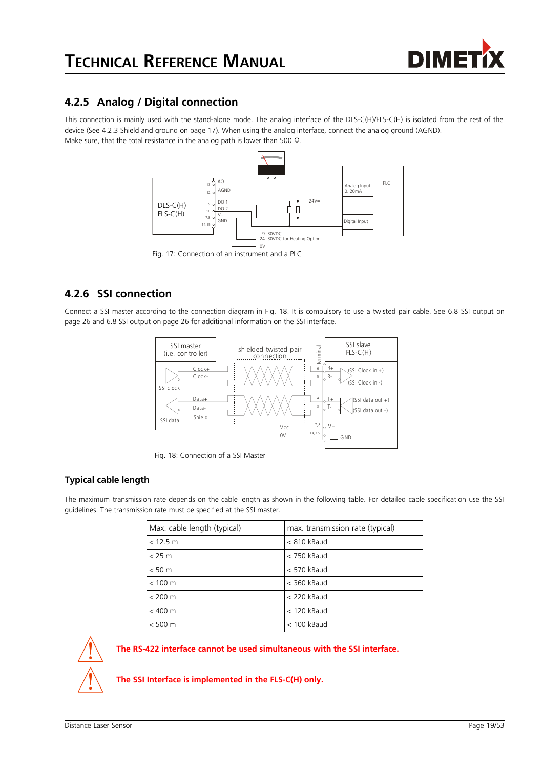

#### **4.2.5 Analog / Digital connection**

This connection is mainly used with the stand-alone mode. The analog interface of the DLS-C(H)/FLS-C(H) is isolated from the rest of the device (See [4.2.3](#page-16-1) [Shield and ground](#page-16-1) on page [17\)](#page-16-1). When using the analog interface, connect the analog ground (AGND). Make sure, that the total resistance in the analog path is lower than 500 Ω.



Fig. 17: Connection of an instrument and a PLC

#### <span id="page-18-0"></span>**4.2.6 SSI connection**

Connect a SSI master according to the connection diagram in Fig. [18.](#page-18-1) It is compulsory to use a twisted pair cable. See [6.8](#page-25-0) [SSI output](#page-25-0) on page [26](#page-25-0) and [6.8](#page-25-0) [SSI output](#page-25-0) on page [26](#page-25-0) for additional information on the SSI interface.



<span id="page-18-1"></span>Fig. 18: Connection of a SSI Master

#### **Typical cable length**

The maximum transmission rate depends on the cable length as shown in the following table. For detailed cable specification use the SSI guidelines. The transmission rate must be specified at the SSI master.

| Max. cable length (typical) | max. transmission rate (typical) |
|-----------------------------|----------------------------------|
| < 12.5 m                    | $<$ 810 kBaud                    |
| $<$ 25 m                    | $<$ 750 kBaud                    |
| < 50 m                      | < 570 kBaud                      |
| $< 100 \text{ m}$           | $<$ 360 kBaud                    |
| $< 200 \text{ m}$           | $<$ 220 kBaud                    |
| $< 400 \text{ m}$           | $<$ 120 kBaud                    |
| $< 500 \text{ m}$           | $<$ 100 kBaud                    |



**The RS-422 interface cannot be used simultaneous with the SSI interface.**

**The SSI Interface is implemented in the FLS-C(H) only.**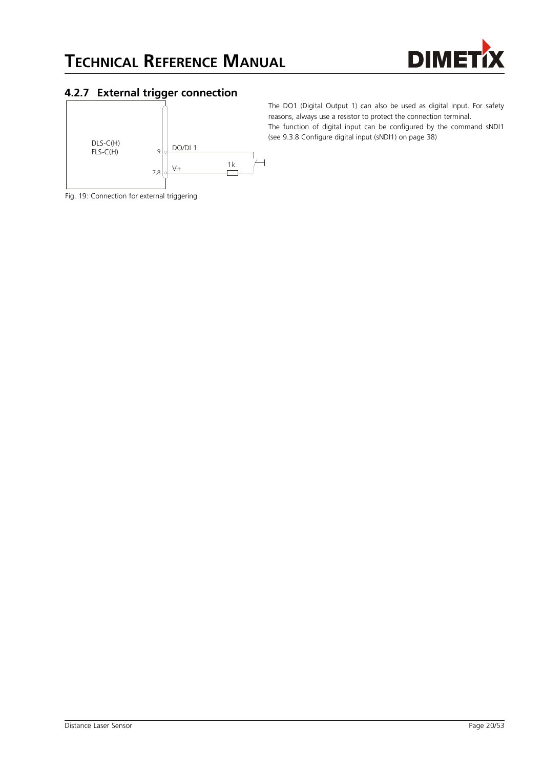

#### <span id="page-19-1"></span>**4.2.7 External trigger connection**



The DO1 (Digital Output 1) can also be used as digital input. For safety reasons, always use a resistor to protect the connection terminal. The function of digital input can be configured by the command sNDI1 (see [9.3.8](#page-37-0) [Configure digital input \(sNDI1\)](#page-37-0) on page [38\)](#page-37-0)

<span id="page-19-0"></span>Fig. 19: Connection for external triggering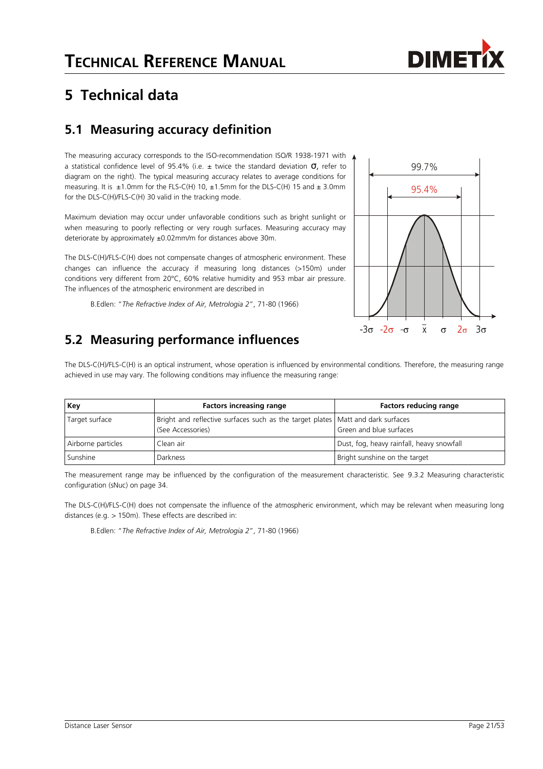

# <span id="page-20-0"></span>**5 Technical data**

# <span id="page-20-1"></span>**5.1 Measuring accuracy definition**

The measuring accuracy corresponds to the ISO-recommendation ISO/R 1938-1971 with a statistical confidence level of 95.4% (i.e.  $\pm$  twice the standard deviation  $\sigma$ , refer to diagram on the right). The typical measuring accuracy relates to average conditions for measuring. It is  $\pm 1.0$ mm for the FLS-C(H) 10,  $\pm 1.5$ mm for the DLS-C(H) 15 and  $\pm 3.0$ mm for the DLS-C(H)/FLS-C(H) 30 valid in the tracking mode.

Maximum deviation may occur under unfavorable conditions such as bright sunlight or when measuring to poorly reflecting or very rough surfaces. Measuring accuracy may deteriorate by approximately ±0.02mm/m for distances above 30m.

The DLS-C(H)/FLS-C(H) does not compensate changes of atmospheric environment. These changes can influence the accuracy if measuring long distances (>150m) under conditions very different from 20°C, 60% relative humidity and 953 mbar air pressure. The influences of the atmospheric environment are described in

B.Edlen: "*The Refractive Index of Air, Metrologia 2*", 71-80 (1966)

# **5.2 Measuring performance influences**



The DLS-C(H)/FLS-C(H) is an optical instrument, whose operation is influenced by environmental conditions. Therefore, the measuring range achieved in use may vary. The following conditions may influence the measuring range:

| Key                | <b>Factors increasing range</b>                                                                        | <b>Factors reducing range</b>             |
|--------------------|--------------------------------------------------------------------------------------------------------|-------------------------------------------|
| Target surface     | Bright and reflective surfaces such as the target plates   Matt and dark surfaces<br>(See Accessories) | Green and blue surfaces                   |
| Airborne particles | Clean air                                                                                              | Dust, fog, heavy rainfall, heavy snowfall |
| Sunshine           | Darkness                                                                                               | Bright sunshine on the target             |

The measurement range may be influenced by the configuration of the measurement characteristic. See [9.3.2](#page-33-0) [Measuring characteristic](#page-33-0) [configuration \(sNuc\)](#page-33-0) on page [34.](#page-33-0)

The DLS-C(H)/FLS-C(H) does not compensate the influence of the atmospheric environment, which may be relevant when measuring long distances (e.g. > 150m). These effects are described in:

B.Edlen: "*The Refractive Index of Air, Metrologia 2*", 71-80 (1966)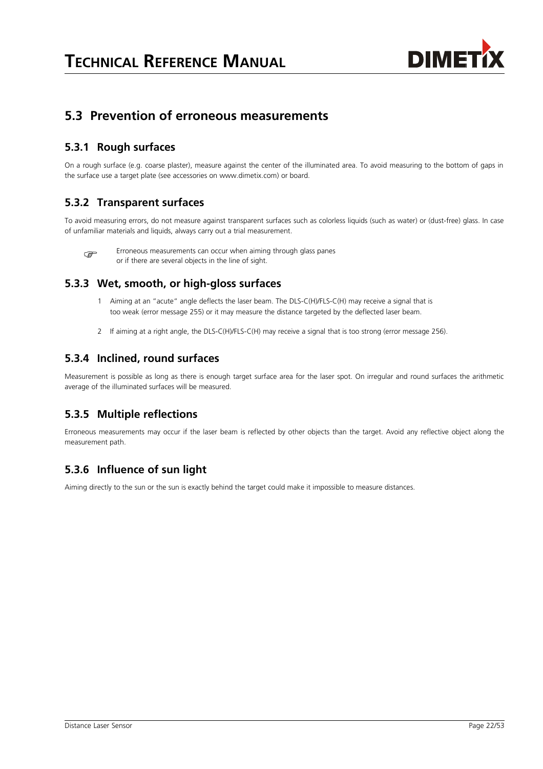

### **5.3 Prevention of erroneous measurements**

#### **5.3.1 Rough surfaces**

On a rough surface (e.g. coarse plaster), measure against the center of the illuminated area. To avoid measuring to the bottom of gaps in the surface use a target plate (see accessories on www.dimetix.com) or board.

#### **5.3.2 Transparent surfaces**

To avoid measuring errors, do not measure against transparent surfaces such as colorless liquids (such as water) or (dust-free) glass. In case of unfamiliar materials and liquids, always carry out a trial measurement.



Erroneous measurements can occur when aiming through glass panes or if there are several objects in the line of sight.

#### **5.3.3 Wet, smooth, or high-gloss surfaces**

- 1 Aiming at an "acute" angle deflects the laser beam. The DLS-C(H)/FLS-C(H) may receive a signal that is too weak (error message 255) or it may measure the distance targeted by the deflected laser beam.
- 2 If aiming at a right angle, the DLS-C(H)/FLS-C(H) may receive a signal that is too strong (error message 256).

#### **5.3.4 Inclined, round surfaces**

Measurement is possible as long as there is enough target surface area for the laser spot. On irregular and round surfaces the arithmetic average of the illuminated surfaces will be measured.

#### **5.3.5 Multiple reflections**

Erroneous measurements may occur if the laser beam is reflected by other objects than the target. Avoid any reflective object along the measurement path.

#### **5.3.6 Influence of sun light**

Aiming directly to the sun or the sun is exactly behind the target could make it impossible to measure distances.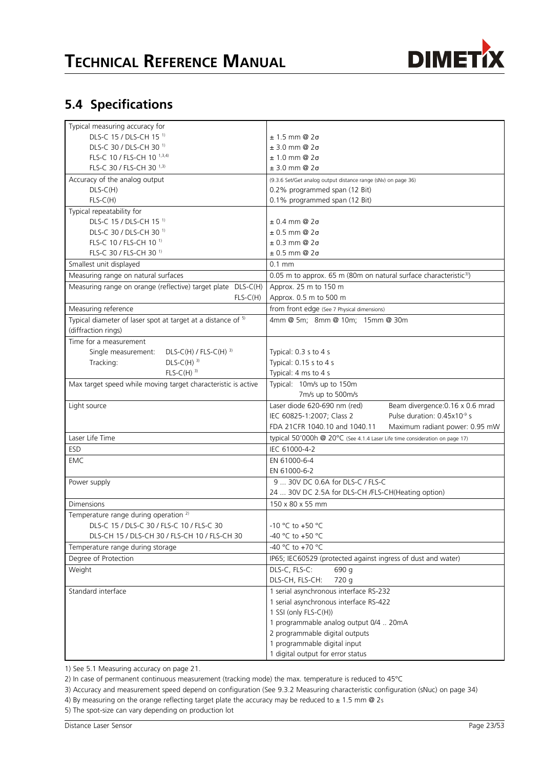

# **5.4 Specifications**

| Typical measuring accuracy for                                          |                                                                               |  |  |
|-------------------------------------------------------------------------|-------------------------------------------------------------------------------|--|--|
| DLS-C 15 / DLS-CH 15 <sup>1)</sup>                                      | $± 1.5$ mm @ $2\sigma$                                                        |  |  |
| DLS-C 30 / DLS-CH 30 <sup>1)</sup>                                      | $± 3.0$ mm @ $2\sigma$                                                        |  |  |
| FLS-C 10 / FLS-CH 10 1,3,4)                                             | $± 1.0$ mm @ $2\sigma$                                                        |  |  |
| FLS-C 30 / FLS-CH 30 1,3)                                               | $± 3.0$ mm @ $2\sigma$                                                        |  |  |
| Accuracy of the analog output                                           | (9.3.6 Set/Get analog output distance range (sNv) on page 36)                 |  |  |
| $DLS-C(H)$                                                              | 0.2% programmed span (12 Bit)                                                 |  |  |
| $FLS-C(H)$                                                              | 0.1% programmed span (12 Bit)                                                 |  |  |
| Typical repeatability for                                               |                                                                               |  |  |
| DLS-C 15 / DLS-CH 15 <sup>1)</sup>                                      | $\pm$ 0.4 mm @ 2 $\sigma$                                                     |  |  |
| DLS-C 30 / DLS-CH 30 <sup>1)</sup>                                      | $± 0.5$ mm @ 2σ                                                               |  |  |
| FLS-C 10 / FLS-CH 10 <sup>1)</sup>                                      | $\pm$ 0.3 mm @ 2 $\sigma$                                                     |  |  |
| FLS-C 30 / FLS-CH 30 <sup>1)</sup>                                      | $\pm$ 0.5 mm @ 2 $\sigma$                                                     |  |  |
| Smallest unit displayed                                                 | $0.1$ mm                                                                      |  |  |
| Measuring range on natural surfaces                                     | 0.05 m to approx. 65 m (80m on natural surface characteristic <sup>3)</sup> ) |  |  |
| Measuring range on orange (reflective) target plate DLS-C(H)            | Approx. 25 m to 150 m                                                         |  |  |
| $FLS-C(H)$                                                              | Approx. 0.5 m to 500 m                                                        |  |  |
| Measuring reference                                                     | from front edge (See 7 Physical dimensions)                                   |  |  |
| Typical diameter of laser spot at target at a distance of <sup>5)</sup> | 4mm @ 5m; 8mm @ 10m; 15mm @ 30m                                               |  |  |
| (diffraction rings)                                                     |                                                                               |  |  |
| Time for a measurement                                                  |                                                                               |  |  |
| $DLS-C(H)$ / FLS-C(H) <sup>3)</sup><br>Single measurement:              | Typical: 0.3 s to 4 s                                                         |  |  |
| $DLS-C(H)$ <sup>3)</sup><br>Tracking:                                   | Typical: 0.15 s to 4 s                                                        |  |  |
| $FLS-C(H)$ <sup>3)</sup>                                                | Typical: 4 ms to 4 s                                                          |  |  |
| Max target speed while moving target characteristic is active           | Typical: 10m/s up to 150m                                                     |  |  |
|                                                                         | 7m/s up to 500m/s                                                             |  |  |
| Light source                                                            | Laser diode 620-690 nm (red)<br>Beam divergence: 0.16 x 0.6 mrad              |  |  |
|                                                                         | Pulse duration: 0.45x10 <sup>-9</sup> s<br>IEC 60825-1:2007; Class 2          |  |  |
|                                                                         | Maximum radiant power: 0.95 mW<br>FDA 21CFR 1040.10 and 1040.11               |  |  |
| Laser Life Time                                                         | typical 50'000h @ 20°C (See 4.1.4 Laser Life time consideration on page 17)   |  |  |
|                                                                         | IEC 61000-4-2                                                                 |  |  |
| ESD                                                                     |                                                                               |  |  |
| <b>EMC</b>                                                              | EN 61000-6-4                                                                  |  |  |
|                                                                         | EN 61000-6-2                                                                  |  |  |
| Power supply                                                            | 9  30V DC 0.6A for DLS-C / FLS-C                                              |  |  |
|                                                                         | 24  30V DC 2.5A for DLS-CH /FLS-CH(Heating option)                            |  |  |
| <b>Dimensions</b>                                                       | 150 x 80 x 55 mm                                                              |  |  |
| Temperature range during operation <sup>2)</sup>                        |                                                                               |  |  |
| DLS-C 15 / DLS-C 30 / FLS-C 10 / FLS-C 30                               | -10 °C to +50 °C                                                              |  |  |
| DLS-CH 15 / DLS-CH 30 / FLS-CH 10 / FLS-CH 30                           | -40 °C to +50 °C                                                              |  |  |
| Temperature range during storage                                        | -40 °C to +70 °C                                                              |  |  |
| Degree of Protection                                                    | IP65; IEC60529 (protected against ingress of dust and water)                  |  |  |
| Weight                                                                  | DLS-C, FLS-C:<br>690 g                                                        |  |  |
|                                                                         | DLS-CH, FLS-CH:<br>720 g                                                      |  |  |
| Standard interface                                                      | 1 serial asynchronous interface RS-232                                        |  |  |
|                                                                         | 1 serial asynchronous interface RS-422                                        |  |  |
|                                                                         | 1 SSI (only FLS-C(H))                                                         |  |  |
|                                                                         | 1 programmable analog output 0/4  20mA                                        |  |  |
|                                                                         | 2 programmable digital outputs                                                |  |  |
|                                                                         | 1 programmable digital input                                                  |  |  |
|                                                                         | 1 digital output for error status                                             |  |  |

1) See [5.1](#page-20-1) [Measuring accuracy](#page-20-1) on page [21.](#page-20-1)

2) In case of permanent continuous measurement (tracking mode) the max. temperature is reduced to 45°C

3) Accuracy and measurement speed depend on configuration (See [9.3.2](#page-33-0) [Measuring characteristic configuration \(sNuc\)](#page-33-0) on page [34\)](#page-33-0)

- 4) By measuring on the orange reflecting target plate the accuracy may be reduced to  $\pm$  1.5 mm @ 2s
- 5) The spot-size can vary depending on production lot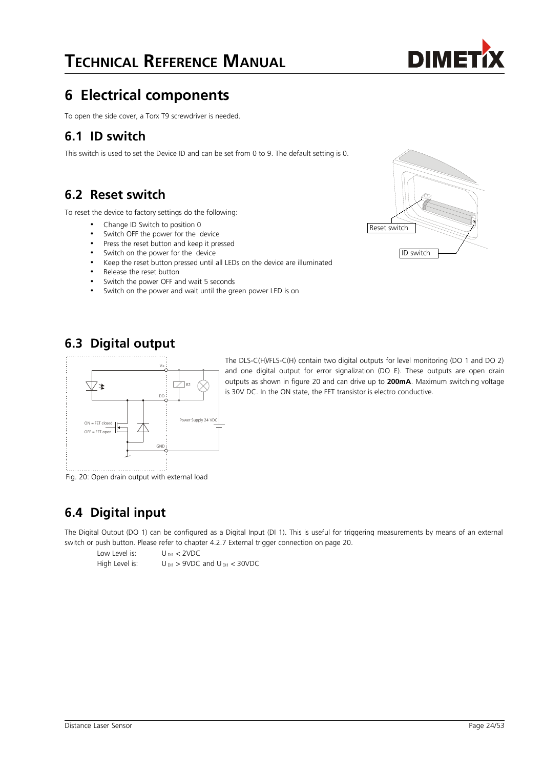# **6 Electrical components**

To open the side cover, a Torx T9 screwdriver is needed.

### **6.1 ID switch**

This switch is used to set the Device ID and can be set from 0 to 9. The default setting is 0.

### <span id="page-23-0"></span>**6.2 Reset switch**

To reset the device to factory settings do the following:

- Change ID Switch to position 0
- Switch OFF the power for the device
- Press the reset button and keep it pressed
- Switch on the power for the device
- Keep the reset button pressed until all LEDs on the device are illuminated
- Release the reset button
- Switch the power OFF and wait 5 seconds
- Switch on the power and wait until the green power LED is on



# **6.3 Digital output**



The DLS-C(H)/FLS-C(H) contain two digital outputs for level monitoring (DO 1 and DO 2) and one digital output for error signalization (DO E). These outputs are open drain outputs as shown in figure [20](#page-23-1) and can drive up to **200mA**. Maximum switching voltage is 30V DC. In the ON state, the FET transistor is electro conductive.

<span id="page-23-1"></span>Fig. 20: Open drain output with external load

# **6.4 Digital input**

The Digital Output (DO 1) can be configured as a Digital Input (DI 1). This is useful for triggering measurements by means of an external switch or push button. Please refer to chapter [4.2.7](#page-19-1) [External trigger connection](#page-19-1) on page [20.](#page-19-1)

Low Level is:  $U_{\text{D11}} < 2\text{VDC}$ 

High Level is:  $U_{\text{D11}} > 9 \text{VDC}$  and  $U_{\text{D11}} < 30 \text{VDC}$ 

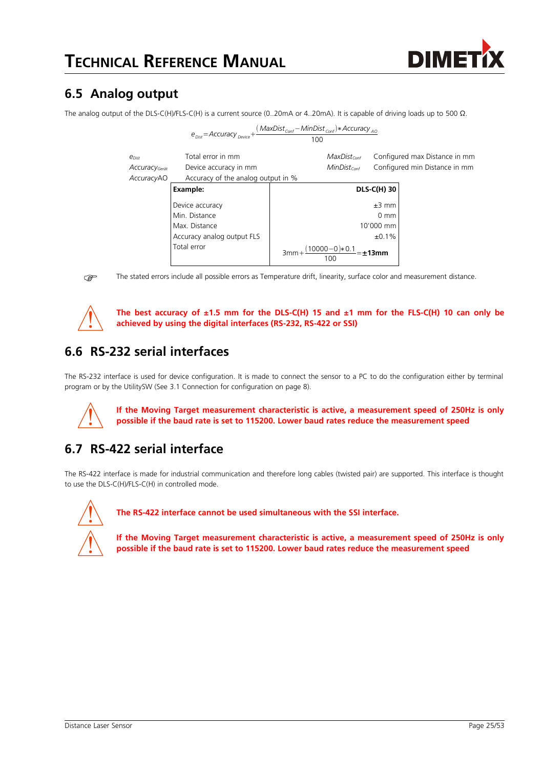

# **6.5 Analog output**

The analog output of the DLS-C(H)/FLS-C(H) is a current source (0..20mA or 4..20mA). It is capable of driving loads up to 500 Ω.

|                           | $e_{\text{Disc}} =$ Accuracy <sub>Device</sub> + | $(MaxDistconf - MinDistConf)*AccuracyAO$<br>100 |                               |
|---------------------------|--------------------------------------------------|-------------------------------------------------|-------------------------------|
| $e_{Dist}$                | Total error in mm                                | $MaxDist_{Cont}$                                | Configured max Distance in mm |
| Accuracy <sub>Gerät</sub> | Device accuracy in mm                            | $MinDist_{cont}$                                | Configured min Distance in mm |
| AccuracyAO                | Accuracy of the analog output in %               |                                                 |                               |
|                           | Example:                                         |                                                 | <b>DLS-C(H) 30</b>            |
|                           | Device accuracy                                  |                                                 | $±3$ mm                       |
|                           | Min. Distance                                    |                                                 | $0 \text{ mm}$                |
|                           | Max. Distance                                    |                                                 | 10'000 mm                     |
|                           | Accuracy analog output FLS                       |                                                 | ±0.1%                         |
|                           | Total error                                      | $(10000-0)*0.1$<br>100                          | 13mm                          |

The stated errors include all possible errors as Temperature drift, linearity, surface color and measurement distance.



**The best accuracy of ±1.5 mm for the DLS-C(H) 15 and ±1 mm for the FLS-C(H) 10 can only be achieved by using the digital interfaces (RS-232, RS-422 or SSI)**

# **6.6 RS-232 serial interfaces**

The RS-232 interface is used for device configuration. It is made to connect the sensor to a PC to do the configuration either by terminal program or by the UtilitySW (See [3.1](#page-7-0) [Connection for configuration](#page-7-0) on page [8\)](#page-7-0).



**If the Moving Target measurement characteristic is active, a measurement speed of 250Hz is only possible if the baud rate is set to 115200. Lower baud rates reduce the measurement speed**

# **6.7 RS-422 serial interface**

The RS-422 interface is made for industrial communication and therefore long cables (twisted pair) are supported. This interface is thought to use the DLS-C(H)/FLS-C(H) in controlled mode.



**The RS-422 interface cannot be used simultaneous with the SSI interface.**

**If the Moving Target measurement characteristic is active, a measurement speed of 250Hz is only possible if the baud rate is set to 115200. Lower baud rates reduce the measurement speed**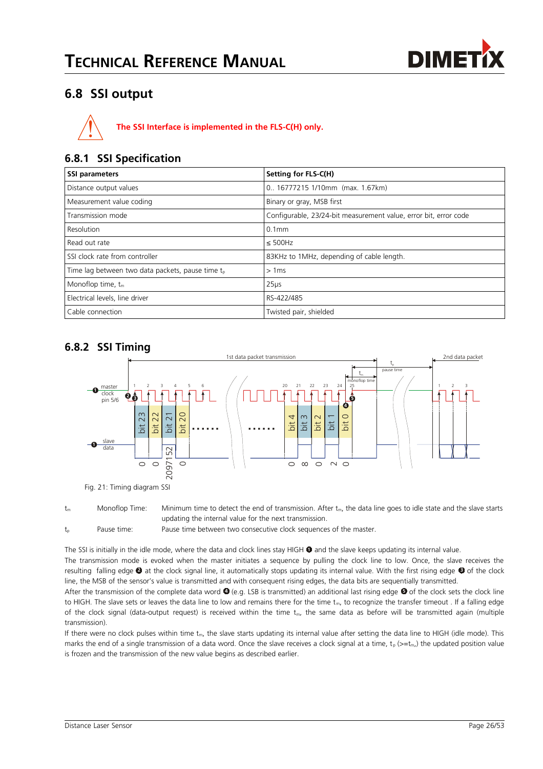

## <span id="page-25-0"></span>**6.8 SSI output**



#### **6.8.1 SSI Specification**

| <b>SSI parameters</b>                                        | Setting for FLS-C(H)                                             |
|--------------------------------------------------------------|------------------------------------------------------------------|
| Distance output values                                       | 0 16777215 1/10mm (max. 1.67km)                                  |
| Measurement value coding                                     | Binary or gray, MSB first                                        |
| Transmission mode                                            | Configurable, 23/24-bit measurement value, error bit, error code |
| Resolution                                                   | $0.1$ mm                                                         |
| Read out rate                                                | $\leq$ 500Hz                                                     |
| SSI clock rate from controller                               | 83KHz to 1MHz, depending of cable length.                        |
| Time lag between two data packets, pause time t <sub>n</sub> | >1ms                                                             |
| Monoflop time, $t_m$                                         | 25 <sub>µs</sub>                                                 |
| Electrical levels, line driver                               | RS-422/485                                                       |
| Cable connection                                             | Twisted pair, shielded                                           |

#### **6.8.2 SSI Timing**



Fig. 21: Timing diagram SSI

 $t_m$  Monoflop Time: Minimum time to detect the end of transmission. After  $t_m$ , the data line goes to idle state and the slave starts updating the internal value for the next transmission.

 $t<sub>p</sub>$  Pause time: Pause time between two consecutive clock sequences of the master.

The SSI is initially in the idle mode, where the data and clock lines stay HIGH  $\bullet$  and the slave keeps updating its internal value.

The transmission mode is evoked when the master initiates a sequence by pulling the clock line to low. Once, the slave receives the resulting falling edge **2** at the clock signal line, it automatically stops updating its internal value. With the first rising edge **3** of the clock line, the MSB of the sensor's value is transmitted and with consequent rising edges, the data bits are sequentially transmitted.

After the transmission of the complete data word  $\bullet$  (e.g. LSB is transmitted) an additional last rising edge  $\bullet$  of the clock sets the clock line to HIGH. The slave sets or leaves the data line to low and remains there for the time  $t_m$ , to recognize the transfer timeout . If a falling edge of the clock signal (data-output request) is received within the time  $t_{m}$ , the same data as before will be transmitted again (multiple transmission).

If there were no clock pulses within time  $t_m$ , the slave starts updating its internal value after setting the data line to HIGH (idle mode). This marks the end of a single transmission of a data word. Once the slave receives a clock signal at a time,  $t_p \left(>= t_m \right)$  the updated position value is frozen and the transmission of the new value begins as described earlier.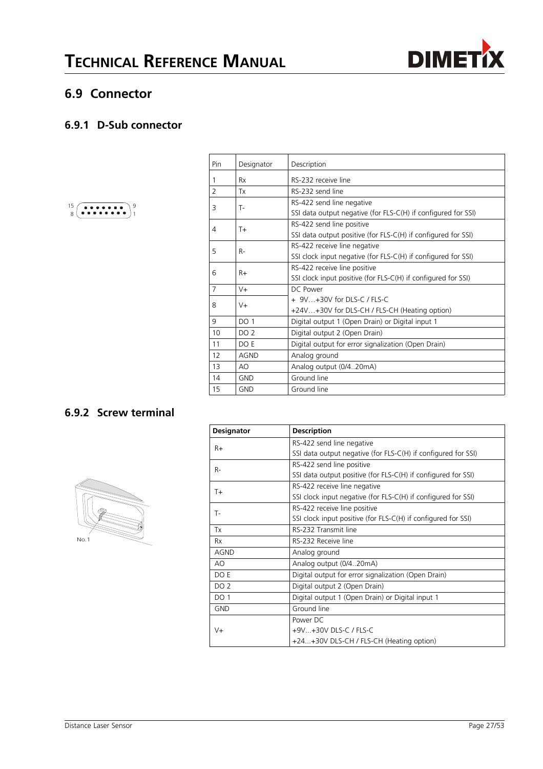



### **6.9 Connector**

#### **6.9.1 D-Sub connector**

| . |
|---|
| . |

| Pin            | Designator      | Description                                                   |
|----------------|-----------------|---------------------------------------------------------------|
| 1              | Rx              | RS-232 receive line                                           |
| $\overline{2}$ | Tx              | RS-232 send line                                              |
| 3              | Т-              | RS-422 send line negative                                     |
|                |                 | SSI data output negative (for FLS-C(H) if configured for SSI) |
| 4              | $T +$           | RS-422 send line positive                                     |
|                |                 | SSI data output positive (for FLS-C(H) if configured for SSI) |
| 5              | $R-$            | RS-422 receive line negative                                  |
|                |                 | SSI clock input negative (for FLS-C(H) if configured for SSI) |
| 6              | $R+$            | RS-422 receive line positive                                  |
|                |                 | SSI clock input positive (for FLS-C(H) if configured for SSI) |
| 7              | $V +$           | DC Power                                                      |
|                |                 | $+9V+30V$ for DLS-C / FLS-C                                   |
| $V +$<br>8     |                 | +24V+30V for DLS-CH / FLS-CH (Heating option)                 |
| 9              | <b>DO 1</b>     | Digital output 1 (Open Drain) or Digital input 1              |
| 10             | DO <sub>2</sub> | Digital output 2 (Open Drain)                                 |
| 11             | DO E            | Digital output for error signalization (Open Drain)           |
| 12             | AGND            | Analog ground                                                 |
| 13             | AO              | Analog output (0/420mA)                                       |
| 14             | <b>GND</b>      | Ground line                                                   |
| 15             | <b>GND</b>      | Ground line                                                   |

#### **6.9.2 Screw terminal**



| Designator      | <b>Description</b>                                            |  |  |  |
|-----------------|---------------------------------------------------------------|--|--|--|
| $R+$            | RS-422 send line negative                                     |  |  |  |
|                 | SSI data output negative (for FLS-C(H) if configured for SSI) |  |  |  |
| $R-$            | RS-422 send line positive                                     |  |  |  |
|                 | SSI data output positive (for FLS-C(H) if configured for SSI) |  |  |  |
| $T+$            | RS-422 receive line negative                                  |  |  |  |
|                 | SSI clock input negative (for FLS-C(H) if configured for SSI) |  |  |  |
| T-              | RS-422 receive line positive                                  |  |  |  |
|                 | SSI clock input positive (for FLS-C(H) if configured for SSI) |  |  |  |
| Tx              | RS-232 Transmit line                                          |  |  |  |
| <b>Rx</b>       | RS-232 Receive line                                           |  |  |  |
| <b>AGND</b>     | Analog ground                                                 |  |  |  |
| AO              | Analog output (0/420mA)                                       |  |  |  |
| DO E            | Digital output for error signalization (Open Drain)           |  |  |  |
| DO <sub>2</sub> | Digital output 2 (Open Drain)                                 |  |  |  |
| <b>DO 1</b>     | Digital output 1 (Open Drain) or Digital input 1              |  |  |  |
| <b>GND</b>      | Ground line                                                   |  |  |  |
|                 | Power DC                                                      |  |  |  |
| $V +$           | +9V+30V DLS-C / FLS-C                                         |  |  |  |
|                 | +24+30V DLS-CH / FLS-CH (Heating option)                      |  |  |  |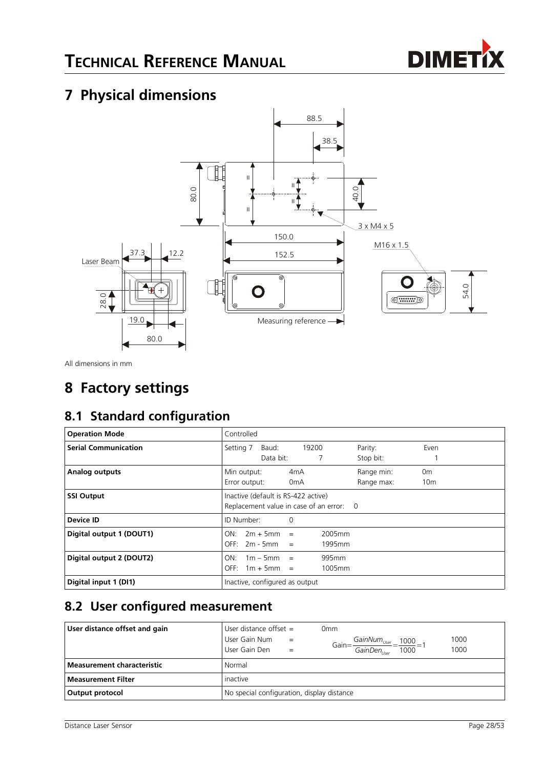

# <span id="page-27-1"></span>**7 Physical dimensions**



All dimensions in mm

# <span id="page-27-0"></span>**8 Factory settings**

# **8.1 Standard configuration**

| <b>Operation Mode</b>       | Controlled                                                                    |                            |                                      |                  |                          |                                   |  |
|-----------------------------|-------------------------------------------------------------------------------|----------------------------|--------------------------------------|------------------|--------------------------|-----------------------------------|--|
| <b>Serial Communication</b> | Setting 7                                                                     | Baud:<br>Data bit:         | 19200                                |                  | Parity:<br>Stop bit:     | Even                              |  |
| <b>Analog outputs</b>       | Min output:<br>Error output:                                                  |                            | 4 <sub>m</sub> A<br>0 <sub>m</sub> A |                  | Range min:<br>Range max: | 0 <sub>m</sub><br>10 <sub>m</sub> |  |
| <b>SSI Output</b>           | Inactive (default is RS-422 active)<br>Replacement value in case of an error: |                            |                                      |                  | - 0                      |                                   |  |
| Device ID                   | ID Number:                                                                    |                            | 0                                    |                  |                          |                                   |  |
| Digital output 1 (DOUT1)    | ON:<br>OFF:                                                                   | $2m + 5mm$<br>$2m - 5mm =$ | $=$                                  | 2005mm<br>1995mm |                          |                                   |  |
| Digital output 2 (DOUT2)    | ON:<br>OFF:                                                                   | $1m - 5mm$<br>$1m + 5mm =$ | $=$                                  | 995mm<br>1005mm  |                          |                                   |  |
| Digital input 1 (DI1)       | Inactive, configured as output                                                |                            |                                      |                  |                          |                                   |  |

## **8.2 User configured measurement**

| User distance offset and gain     | User distance offset $=$                     | 0mm                                                                                                                        |  |
|-----------------------------------|----------------------------------------------|----------------------------------------------------------------------------------------------------------------------------|--|
|                                   | User Gain Num<br>$=$<br>User Gain Den<br>$=$ | 1000<br>$-\frac{GainNum_{User}}{1000} = 1$<br>Gain= $\frac{1}{\text{GainDen}_{\text{User}}}$ =<br>$\frac{1}{1000}$<br>1000 |  |
| <b>Measurement characteristic</b> | Normal                                       |                                                                                                                            |  |
| <b>Measurement Filter</b>         | inactive                                     |                                                                                                                            |  |
| Output protocol                   | No special configuration, display distance   |                                                                                                                            |  |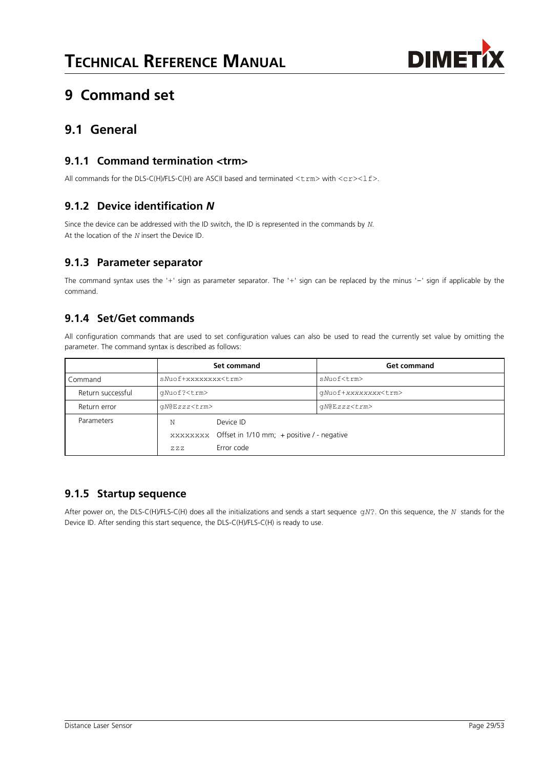

# <span id="page-28-0"></span>**9 Command set**

### **9.1 General**

#### **9.1.1 Command termination <trm>**

All commands for the DLS-C(H)/FLS-C(H) are ASCII based and terminated  $\langle \text{trm} \rangle$  with  $\langle \text{cr}\rangle\langle 1f \rangle$ .

#### **9.1.2 Device identification** *N*

Since the device can be addressed with the ID switch, the ID is represented in the commands by *N*. At the location of the *N* insert the Device ID.

#### **9.1.3 Parameter separator**

The command syntax uses the '+' sign as parameter separator. The '+' sign can be replaced by the minus '-' sign if applicable by the command.

#### **9.1.4 Set/Get commands**

All configuration commands that are used to set configuration values can also be used to read the currently set value by omitting the parameter. The command syntax is described as follows:

|                   |                            | Set command                                         | <b>Get command</b>         |  |  |
|-------------------|----------------------------|-----------------------------------------------------|----------------------------|--|--|
| Command           | sNuof+xxxxxxxx <trm></trm> |                                                     | sNuof <trm></trm>          |  |  |
| Return successful | qNuof? <trm></trm>         |                                                     | qNuof+xxxxxxxx <trm></trm> |  |  |
| Return error      | qN@Ezzz <trm></trm>        |                                                     | $qN@Ezzz<\tau$ rm>         |  |  |
| Parameters        | Ν                          | Device ID                                           |                            |  |  |
|                   |                            | xxxxxxxx Offset in 1/10 mm; + positive / - negative |                            |  |  |
|                   | Z. Z. Z.                   | Error code                                          |                            |  |  |

#### **9.1.5 Startup sequence**

After power on, the DLS-C(H)/FLS-C(H) does all the initializations and sends a start sequence g*N*?. On this sequence, the *N* stands for the Device ID. After sending this start sequence, the DLS-C(H)/FLS-C(H) is ready to use.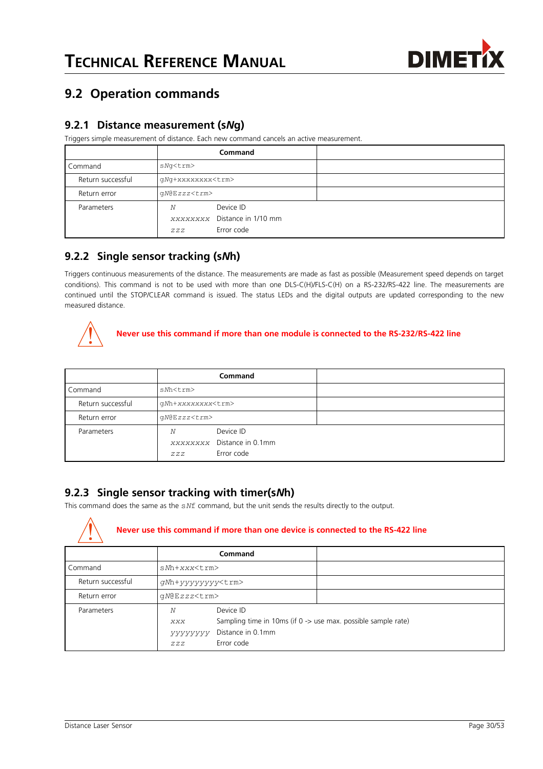

## <span id="page-29-0"></span>**9.2 Operation commands**

#### <span id="page-29-1"></span>**9.2.1 Distance measurement (s***N***g)**

Triggers simple measurement of distance. Each new command cancels an active measurement.

|                   |                          | Command                                                 |  |
|-------------------|--------------------------|---------------------------------------------------------|--|
| Command           | sNq <trm></trm>          |                                                         |  |
| Return successful | qNq+xxxxxxxx <trm></trm> |                                                         |  |
| Return error      | gN@Ezzz <trm></trm>      |                                                         |  |
| Parameters        | N<br>ZZZ                 | Device ID<br>xxxxxxxx Distance in 1/10 mm<br>Error code |  |

#### **9.2.2 Single sensor tracking (s***N***h)**

Triggers continuous measurements of the distance. The measurements are made as fast as possible (Measurement speed depends on target conditions). This command is not to be used with more than one DLS-C(H)/FLS-C(H) on a RS-232/RS-422 line. The measurements are continued until the STOP/CLEAR command is issued. The status LEDs and the digital outputs are updated corresponding to the new measured distance.



#### **Never use this command if more than one module is connected to the RS-232/RS-422 line**

|                   |                          | Command                                               |  |
|-------------------|--------------------------|-------------------------------------------------------|--|
| Command           | sMh <trm></trm>          |                                                       |  |
| Return successful | gMh+xxxxxxxx <trm></trm> |                                                       |  |
| Return error      | $qN@Ezzz<\text{trm}>$    |                                                       |  |
| Parameters        | N<br>ZZZ                 | Device ID<br>XXXXXXXX Distance in 0.1mm<br>Error code |  |

#### **9.2.3 Single sensor tracking with timer(s***N***h)**

This command does the same as the s*N*f command, but the unit sends the results directly to the output.



#### **Never use this command if more than one device is connected to the RS-422 line**

|                   |                            | Command                                                                                                       |  |
|-------------------|----------------------------|---------------------------------------------------------------------------------------------------------------|--|
| Command           | $sNh+xxx<\text{trm}>$      |                                                                                                               |  |
| Return successful | gNh+yyyyyyy <trm></trm>    |                                                                                                               |  |
| Return error      | qN@Ezzz <trm></trm>        |                                                                                                               |  |
| Parameters        | Ν<br>XXX<br>УУУУУУУ<br>ZZZ | Device ID<br>Sampling time in 10ms (if 0 -> use max. possible sample rate)<br>Distance in 0.1mm<br>Error code |  |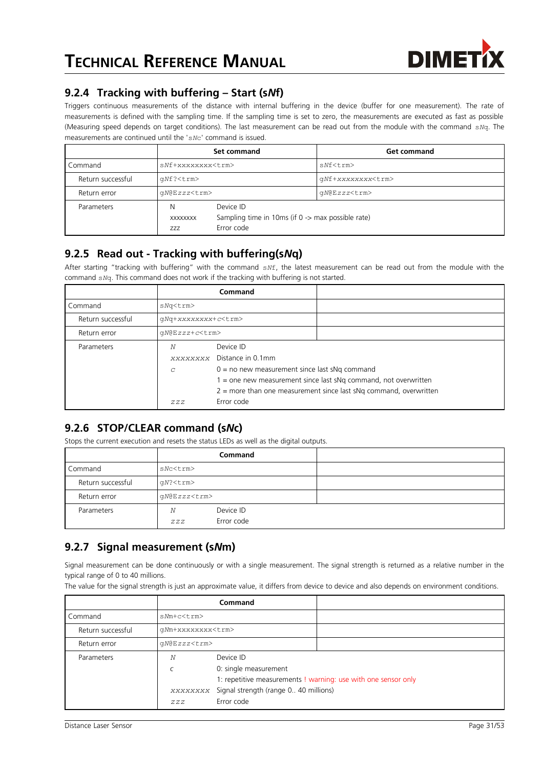

#### **9.2.4 Tracking with buffering – Start (s***N***f)**

Triggers continuous measurements of the distance with internal buffering in the device (buffer for one measurement). The rate of measurements is defined with the sampling time. If the sampling time is set to zero, the measurements are executed as fast as possible (Measuring speed depends on target conditions). The last measurement can be read out from the module with the command s*N*q. The measurements are continued until the 's*N*c' command is issued.

|                   |                          | Set command                                                                  | <b>Get command</b>       |  |
|-------------------|--------------------------|------------------------------------------------------------------------------|--------------------------|--|
| Command           | sNf+xxxxxxxx <trm></trm> |                                                                              | $sNf$ < t.rm >           |  |
| Return successful | qNf? <trm></trm>         |                                                                              | qNf+xxxxxxxx <trm></trm> |  |
| Return error      | qN@Ezzz <trm></trm>      |                                                                              | qN@Ezzz <trm></trm>      |  |
| Parameters        | N<br>XXXXXXXX<br>777     | Device ID<br>Sampling time in 10ms (if 0 -> max possible rate)<br>Error code |                          |  |

#### **9.2.5 Read out - Tracking with buffering(s***N***q)**

After starting "tracking with buffering" with the command s*N*f, the latest measurement can be read out from the module with the command s*N*q. This command does not work if the tracking with buffering is not started.

|                   |                            | Command                                                           |                                                                     |  |  |
|-------------------|----------------------------|-------------------------------------------------------------------|---------------------------------------------------------------------|--|--|
| Command           | sNq <trm></trm>            |                                                                   |                                                                     |  |  |
| Return successful | qNq+xxxxxxxx+c <trm></trm> |                                                                   |                                                                     |  |  |
| Return error      | qN@Ezzz+c <trm></trm>      |                                                                   |                                                                     |  |  |
| Parameters        | N                          | Device ID                                                         |                                                                     |  |  |
|                   |                            | xxxxxxxx Distance in 0.1mm                                        |                                                                     |  |  |
|                   | C                          | $0 =$ no new measurement since last sNq command                   |                                                                     |  |  |
|                   |                            | $1 =$ one new measurement since last sNg command, not overwritten |                                                                     |  |  |
|                   |                            |                                                                   | $2$ = more than one measurement since last sNg command, overwritten |  |  |
|                   | ZZZ                        | Error code                                                        |                                                                     |  |  |

### **9.2.6 STOP/CLEAR command (s***N***c)**

Stops the current execution and resets the status LEDs as well as the digital outputs.

|                   |                     | <b>Command</b>          |  |
|-------------------|---------------------|-------------------------|--|
| Command           | sNc <trm></trm>     |                         |  |
| Return successful | qN? <trm></trm>     |                         |  |
| Return error      | gN@Ezzz <trm></trm> |                         |  |
| Parameters        | Ν<br>ZZZ            | Device ID<br>Error code |  |

#### **9.2.7 Signal measurement (s***N***m)**

Signal measurement can be done continuously or with a single measurement. The signal strength is returned as a relative number in the typical range of 0 to 40 millions.

The value for the signal strength is just an approximate value, it differs from device to device and also depends on environment conditions.

|                   |                          | <b>Command</b>                                 |                                                                |
|-------------------|--------------------------|------------------------------------------------|----------------------------------------------------------------|
| Command           | $sNm+c<$ t $rm>$         |                                                |                                                                |
| Return successful | qMm+xxxxxxxx <trm></trm> |                                                |                                                                |
| Return error      | qN@Ezzz <trm></trm>      |                                                |                                                                |
| Parameters        | Ν                        | Device ID                                      |                                                                |
|                   |                          | 0: single measurement                          |                                                                |
|                   |                          |                                                | 1: repetitive measurements ! warning: use with one sensor only |
|                   |                          | xxxxxxxx Signal strength (range 0 40 millions) |                                                                |
|                   | ZZZ                      | Error code                                     |                                                                |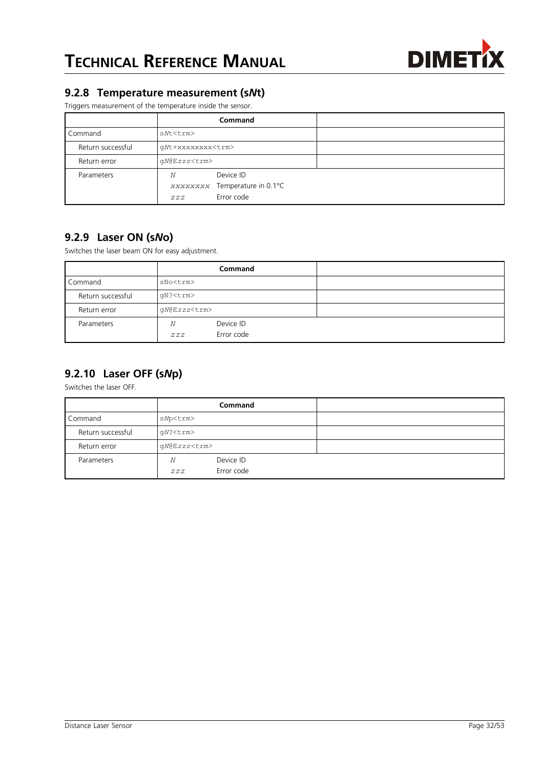

#### **9.2.8 Temperature measurement (s***N***t)**

Triggers measurement of the temperature inside the sensor.

|                   |                          | <b>Command</b>                                           |  |
|-------------------|--------------------------|----------------------------------------------------------|--|
| Command           | sNt <trm></trm>          |                                                          |  |
| Return successful | qNt+xxxxxxxx <trm></trm> |                                                          |  |
| Return error      | gN@Ezzz <trm></trm>      |                                                          |  |
| Parameters        | N<br>ZZZ                 | Device ID<br>XXXXXXXX Temperature in 0.1°C<br>Error code |  |

#### **9.2.9 Laser ON (s***N***o)**

Switches the laser beam ON for easy adjustment.

|                   |                     | Command                 |  |
|-------------------|---------------------|-------------------------|--|
| Command           | sNo <trm></trm>     |                         |  |
| Return successful | qN? <trm></trm>     |                         |  |
| Return error      | gN@Ezzz <trm></trm> |                         |  |
| Parameters        | Ν<br>ZZZ            | Device ID<br>Error code |  |

### **9.2.10 Laser OFF (s***N***p)**

Switches the laser OFF.

|                   |                     | <b>Command</b>          |  |
|-------------------|---------------------|-------------------------|--|
| Command           | sNp <trm></trm>     |                         |  |
| Return successful | $qN?$ <trm></trm>   |                         |  |
| Return error      | gN@Ezzz <trm></trm> |                         |  |
| Parameters        | N<br>ZZZ            | Device ID<br>Error code |  |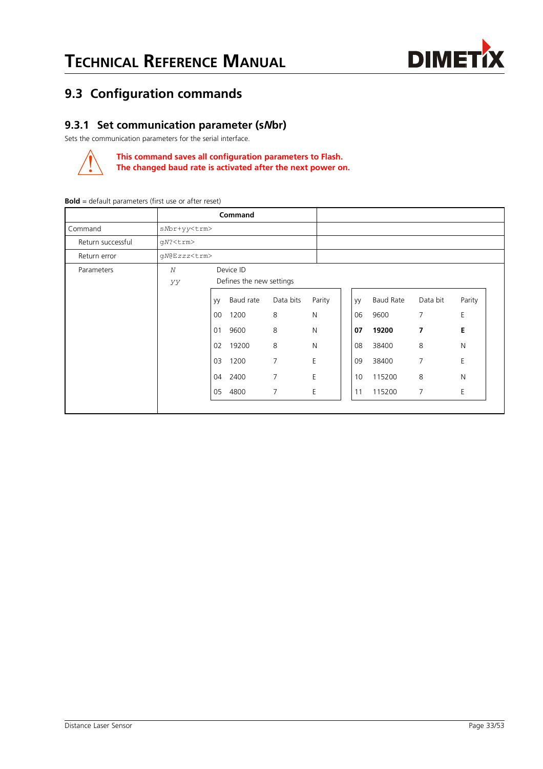

## <span id="page-32-0"></span>**9.3 Configuration commands**

#### **9.3.1 Set communication parameter (s***N***br)**

Sets the communication parameters for the serial interface.



**This command saves all configuration parameters to Flash. The changed baud rate is activated after the next power on.**

|                   | Command             |    |                          |                |              |        |    |           |          |        |
|-------------------|---------------------|----|--------------------------|----------------|--------------|--------|----|-----------|----------|--------|
| Command           | sNbr+yy <trm></trm> |    |                          |                |              |        |    |           |          |        |
| Return successful | $qN?$ <trm></trm>   |    |                          |                |              |        |    |           |          |        |
| Return error      | gN@Ezzz <trm></trm> |    |                          |                |              |        |    |           |          |        |
| Parameters        | N                   |    | Device ID                |                |              |        |    |           |          |        |
|                   | УУ                  |    | Defines the new settings |                |              |        |    |           |          |        |
|                   |                     | yy | Baud rate                | Data bits      |              | Parity | yy | Baud Rate | Data bit | Parity |
|                   |                     | 00 | 1200                     | 8              | $\mathsf{N}$ |        | 06 | 9600      | 7        | E      |
|                   |                     | 01 | 9600                     | 8              | N            |        | 07 | 19200     | 7        | E      |
|                   |                     | 02 | 19200                    | 8              | N            |        | 08 | 38400     | 8        | N      |
|                   |                     | 03 | 1200                     | 7              | E            |        | 09 | 38400     | 7        | E      |
|                   |                     | 04 | 2400                     | 7              | E            |        | 10 | 115200    | 8        | N      |
|                   |                     | 05 | 4800                     | $\overline{7}$ | E            |        | 11 | 115200    | 7        | E      |
|                   |                     |    |                          |                |              |        |    |           |          |        |

**Bold** = default parameters (first use or after reset)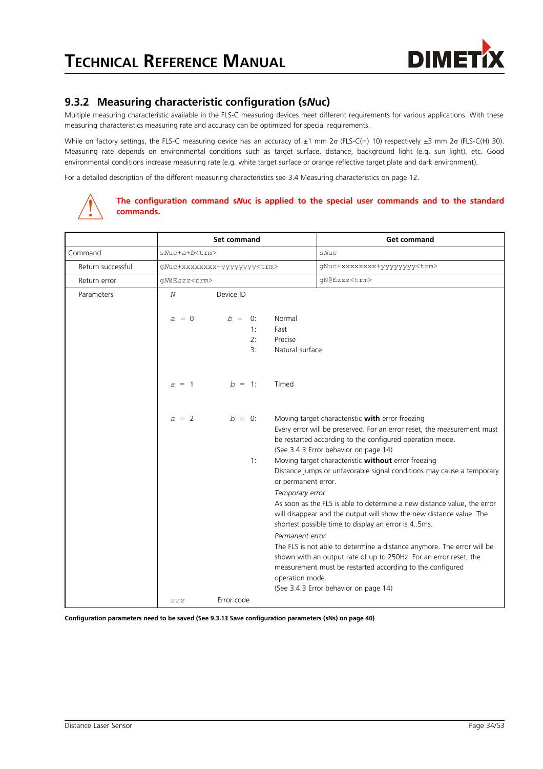

#### <span id="page-33-0"></span>**9.3.2 Measuring characteristic configuration (s***N***uc)**

Multiple measuring characteristic available in the FLS-C measuring devices meet different requirements for various applications. With these measuring characteristics measuring rate and accuracy can be optimized for special requirements.

While on factory settings, the FLS-C measuring device has an accuracy of ±1 mm 2σ (FLS-C(H) 10) respectively ±3 mm 2σ (FLS-C(H) 30). Measuring rate depends on environmental conditions such as target surface, distance, background light (e.g. sun light), etc. Good environmental conditions increase measuring rate (e.g. white target surface or orange reflective target plate and dark environment).

For a detailed description of the different measuring characteristics see [3.4](#page-11-4) [Measuring characteristics](#page-11-4) on page [12.](#page-11-4)



#### **The configuration command s***N***uc is applied to the special user commands and to the standard commands.**

|                   |                      | <b>Set command</b>                 |                                                                              | <b>Get command</b>                                                                                                                                                                                                                                                                                                                                                                                                                                                                                                                                                                         |
|-------------------|----------------------|------------------------------------|------------------------------------------------------------------------------|--------------------------------------------------------------------------------------------------------------------------------------------------------------------------------------------------------------------------------------------------------------------------------------------------------------------------------------------------------------------------------------------------------------------------------------------------------------------------------------------------------------------------------------------------------------------------------------------|
| Command           | sNuc+a+b <trm></trm> |                                    |                                                                              | sNuc                                                                                                                                                                                                                                                                                                                                                                                                                                                                                                                                                                                       |
| Return successful |                      | gNuc+xxxxxxxx+yyyyyyyy <trm></trm> |                                                                              | gNuc+xxxxxxxx+yyyyyyyy <trm></trm>                                                                                                                                                                                                                                                                                                                                                                                                                                                                                                                                                         |
| Return error      | qN@Ezzz <trm></trm>  |                                    |                                                                              | gN@Ezzz <trm></trm>                                                                                                                                                                                                                                                                                                                                                                                                                                                                                                                                                                        |
| Parameters        | N                    | Device ID                          |                                                                              |                                                                                                                                                                                                                                                                                                                                                                                                                                                                                                                                                                                            |
|                   | $a = 0$              | $b = 0$ :<br>1:<br>2:<br>3:        | Normal<br>Fast<br>Precise<br>Natural surface                                 |                                                                                                                                                                                                                                                                                                                                                                                                                                                                                                                                                                                            |
|                   | $a = 1$              | $b = 1$ :                          | Timed                                                                        |                                                                                                                                                                                                                                                                                                                                                                                                                                                                                                                                                                                            |
|                   | $a = 2$              | $b = 0$ :                          |                                                                              | Moving target characteristic with error freezing<br>Every error will be preserved. For an error reset, the measurement must<br>be restarted according to the configured operation mode.<br>(See 3.4.3 Error behavior on page 14)                                                                                                                                                                                                                                                                                                                                                           |
|                   |                      | 1:                                 | or permanent error.<br>Temporary error<br>Permanent error<br>operation mode. | Moving target characteristic without error freezing<br>Distance jumps or unfavorable signal conditions may cause a temporary<br>As soon as the FLS is able to determine a new distance value, the error<br>will disappear and the output will show the new distance value. The<br>shortest possible time to display an error is 45ms.<br>The FLS is not able to determine a distance anymore. The error will be<br>shown with an output rate of up to 250Hz. For an error reset, the<br>measurement must be restarted according to the configured<br>(See 3.4.3 Error behavior on page 14) |
|                   | ZZZ                  | Error code                         |                                                                              |                                                                                                                                                                                                                                                                                                                                                                                                                                                                                                                                                                                            |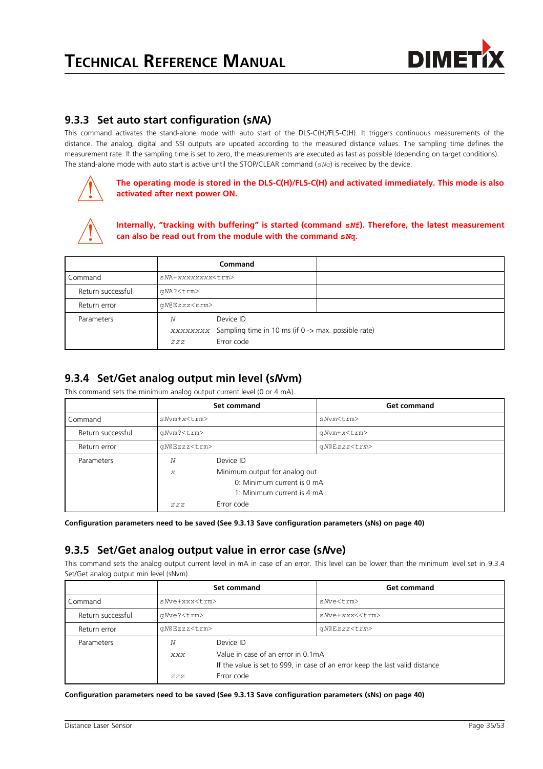

#### <span id="page-34-1"></span>**9.3.3 Set auto start configuration (s***N***A)**

This command activates the stand-alone mode with auto start of the DLS-C(H)/FLS-C(H). It triggers continuous measurements of the distance. The analog, digital and SSI outputs are updated according to the measured distance values. The sampling time defines the measurement rate. If the sampling time is set to zero, the measurements are executed as fast as possible (depending on target conditions). The stand-alone mode with auto start is active until the STOP/CLEAR command (s*N*c) is received by the device.



**The operating mode is stored in the DLS-C(H)/FLS-C(H) and activated immediately. This mode is also activated after next power ON.**



**Internally, "tracking with buffering" is started (command s***N***f). Therefore, the latest measurement can also be read out from the module with the command s***N***q.**

|                   |                          | Command                                                      |  |
|-------------------|--------------------------|--------------------------------------------------------------|--|
| Command           | sNA+xxxxxxxx <trm></trm> |                                                              |  |
| Return successful | qNA? <trm></trm>         |                                                              |  |
| Return error      | qN@Ezzz <trm></trm>      |                                                              |  |
| Parameters        | N                        | Device ID                                                    |  |
|                   |                          | xxxxxxxx Sampling time in 10 ms (if 0 -> max. possible rate) |  |
|                   | ZZZ                      | Error code                                                   |  |

#### <span id="page-34-0"></span>**9.3.4 Set/Get analog output min level (s***N***vm)**

This command sets the minimum analog output current level (0 or 4 mA).

|                   |                                    | Set command                | <b>Get command</b> |  |
|-------------------|------------------------------------|----------------------------|--------------------|--|
| Command           | $sNvm+x< t.$ rm $>$                |                            | sNvm <trm></trm>   |  |
| Return successful | qNvm? <trm></trm>                  |                            | qNvm+x <trm></trm> |  |
| Return error      | gN@Ezzz <trm></trm>                |                            | $qN@Ezzz<\tau$ rm> |  |
| Parameters        | N                                  | Device ID                  |                    |  |
|                   | Minimum output for analog out<br>X |                            |                    |  |
|                   |                                    | 0: Minimum current is 0 mA |                    |  |
|                   |                                    | 1: Minimum current is 4 mA |                    |  |
|                   | ZZZ                                | Error code                 |                    |  |

**Configuration parameters need to be saved (See [9.3.13](#page-39-1) [Save configuration parameters \(sNs\)](#page-39-1) on page [40\)](#page-39-1)**

#### **9.3.5 Set/Get analog output value in error case (s***N***ve)**

This command sets the analog output current level in mA in case of an error. This level can be lower than the minimum level set in [9.3.4](#page-34-0) [Set/Get analog output min level \(sNvm\).](#page-34-0)

|                   | Set command            |                                                               | <b>Get command</b>                                                           |
|-------------------|------------------------|---------------------------------------------------------------|------------------------------------------------------------------------------|
| Command           | s Nye + x x x < t rm>  |                                                               | sNve <trm></trm>                                                             |
| Return successful | qNve? <trm></trm>      |                                                               | sNve+xxx< <trm></trm>                                                        |
| Return error      | qN@Ezzz <trm></trm>    |                                                               | $qN@Ezzz<\tau$ rm>                                                           |
| Parameters        | N<br><b>XXX</b><br>ZZZ | Device ID<br>Value in case of an error in 0.1mA<br>Error code | If the value is set to 999, in case of an error keep the last valid distance |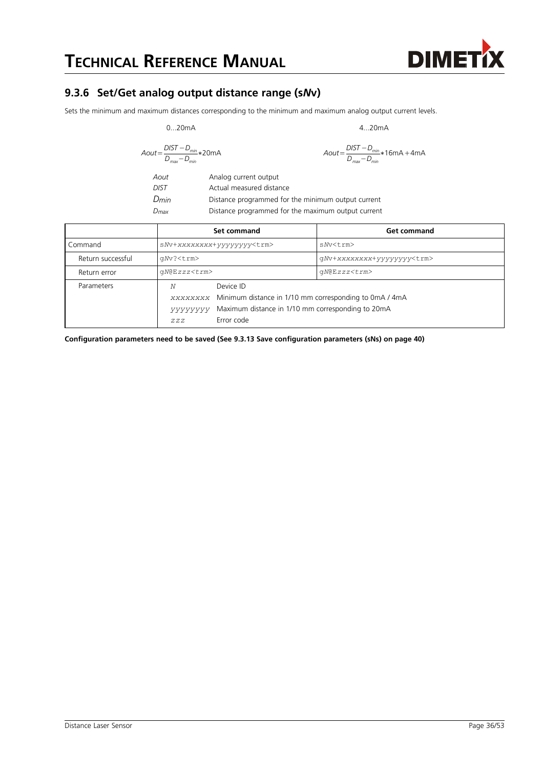#### <span id="page-35-0"></span>**9.3.6 Set/Get analog output distance range (s***N***v)**

Sets the minimum and maximum distances corresponding to the minimum and maximum analog output current levels.

$$
0...20mA
$$

$$
Aout = \frac{DIST - D_{min}}{D_{max} - D_{min}} * 20mA
$$

0...20mA 4...20mA

$$
4\text{Out} = \frac{DIST - D_{\text{min}}}{D_{\text{max}} - D_{\text{min}}} * 16mA + 4mA
$$

*Aout* Analog current output *DIST* Actual measured distance *Dmin* Distance programmed for the minimum output current *Dmax* Distance programmed for the maximum output current

|                   |                                   | Set command                                                                                                                                     | <b>Get command</b>                |
|-------------------|-----------------------------------|-------------------------------------------------------------------------------------------------------------------------------------------------|-----------------------------------|
| Command           | sNv+xxxxxxxx+yyyyyyyy <trm></trm> |                                                                                                                                                 | s Nv <trm></trm>                  |
| Return successful | qNv? <trm></trm>                  |                                                                                                                                                 | qNv+xxxxxxxx+yyyyyyyy <trm></trm> |
| Return error      | $qN@Ezzz<\text{trm}>$             |                                                                                                                                                 | $qN@Ezzz<\tau$ rm>                |
| Parameters        | Ν<br>УУУУУУУ<br>ZZZ               | Device ID<br>xxxxxxxx Minimum distance in 1/10 mm corresponding to 0mA / 4mA<br>Maximum distance in 1/10 mm corresponding to 20mA<br>Error code |                                   |

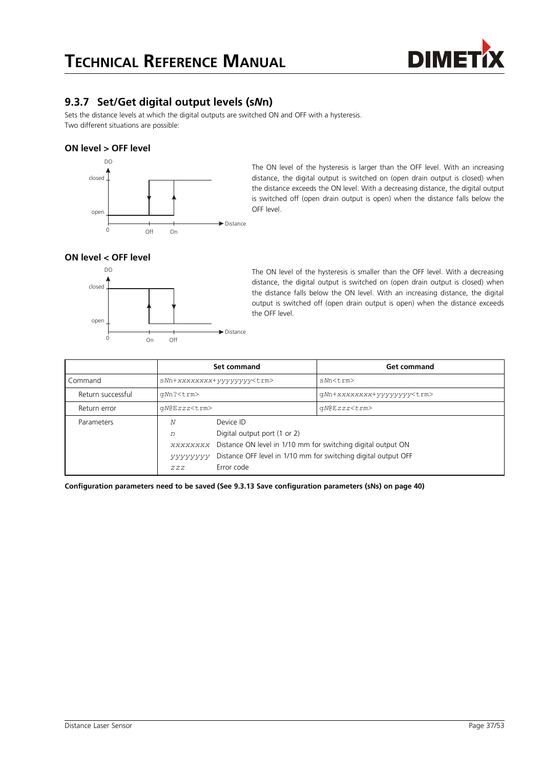

#### **9.3.7 Set/Get digital output levels (s***N***n)**

Sets the distance levels at which the digital outputs are switched ON and OFF with a hysteresis. Two different situations are possible:

#### **ON level > OFF level**



The ON level of the hysteresis is larger than the OFF level. With an increasing distance, the digital output is switched on (open drain output is closed) when the distance exceeds the ON level. With a decreasing distance, the digital output is switched off (open drain output is open) when the distance falls below the OFF level.

#### **ON level < OFF level**



The ON level of the hysteresis is smaller than the OFF level. With a decreasing distance, the digital output is switched on (open drain output is closed) when the distance falls below the ON level. With an increasing distance, the digital output is switched off (open drain output is open) when the distance exceeds the OFF level.

|                   |                                                                                                                                                                                                                                   | Set command                       | <b>Get command</b>                |
|-------------------|-----------------------------------------------------------------------------------------------------------------------------------------------------------------------------------------------------------------------------------|-----------------------------------|-----------------------------------|
| Command           |                                                                                                                                                                                                                                   | sMn+xxxxxxxx+yyyyyyyy <trm></trm> | sNn <trm></trm>                   |
| Return successful | qNn? <trm></trm>                                                                                                                                                                                                                  |                                   | qNn+xxxxxxxx+yyyyyyyy <trm></trm> |
| Return error      | qN@Ezzz <trm></trm>                                                                                                                                                                                                               |                                   | $qN@Ezzz<\tau$ rm>                |
| Parameters        | Device ID<br>Ν<br>Digital output port (1 or 2)<br>n<br>Distance ON level in 1/10 mm for switching digital output ON<br>XXXXXXXX<br>Distance OFF level in 1/10 mm for switching digital output OFF<br>УУУУУУУ<br>Error code<br>ZZZ |                                   |                                   |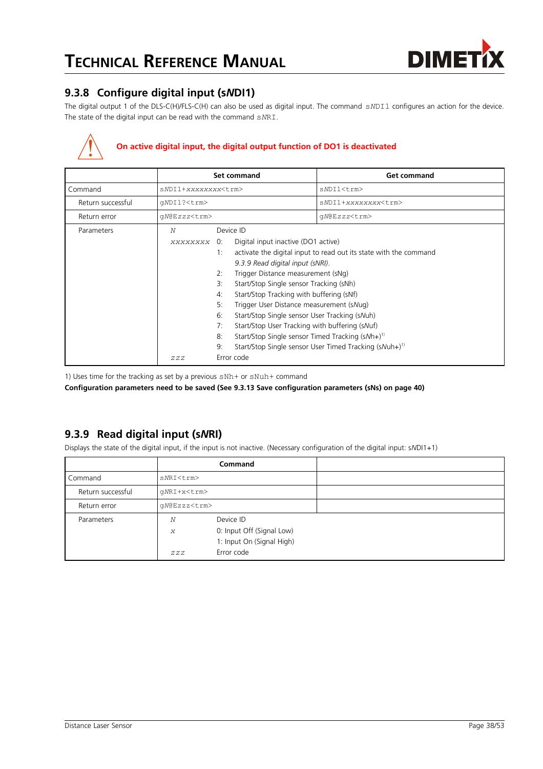

#### <span id="page-37-0"></span>**9.3.8 Configure digital input (s***N***DI1)**

The digital output 1 of the DLS-C(H)/FLS-C(H) can also be used as digital input. The command s*N*DI1 configures an action for the device. The state of the digital input can be read with the command s*N*RI.

#### **On active digital input, the digital output function of DO1 is deactivated**

|                   |                            | <b>Set command</b>                                                                                                                                                                                                                                                                                                                                                                                                                                                                   | <b>Get command</b>                                                                                                                      |
|-------------------|----------------------------|--------------------------------------------------------------------------------------------------------------------------------------------------------------------------------------------------------------------------------------------------------------------------------------------------------------------------------------------------------------------------------------------------------------------------------------------------------------------------------------|-----------------------------------------------------------------------------------------------------------------------------------------|
| Command           | sNDI1+xxxxxxxx <trm></trm> |                                                                                                                                                                                                                                                                                                                                                                                                                                                                                      | sNDI1 <trm></trm>                                                                                                                       |
| Return successful | qNDI1? <trm></trm>         |                                                                                                                                                                                                                                                                                                                                                                                                                                                                                      | sNDI1+xxxxxxxx <trm></trm>                                                                                                              |
| Return error      | gN@Ezzz <trm></trm>        |                                                                                                                                                                                                                                                                                                                                                                                                                                                                                      | qN@Ezzz <trm></trm>                                                                                                                     |
| Parameters        | N<br><b>XXXXXXXX</b>       | Device ID<br>Digital input inactive (DO1 active)<br>0:<br>1:<br>9.3.9 Read digital input (sNRI).<br>Trigger Distance measurement (sNg)<br>2:<br>Start/Stop Single sensor Tracking (sNh)<br>З:<br>Start/Stop Tracking with buffering (sNf)<br>4:<br>5:<br>Trigger User Distance measurement (sNug)<br>6:<br>Start/Stop Single sensor User Tracking (sNuh)<br>Start/Stop User Tracking with buffering (sNuf)<br>7:<br>Start/Stop Single sensor Timed Tracking $(sNh+)^{1}$<br>8:<br>9: | activate the digital input to read out its state with the command<br>Start/Stop Single sensor User Timed Tracking (sNuh+) <sup>1)</sup> |
|                   | ZZZ                        | Error code                                                                                                                                                                                                                                                                                                                                                                                                                                                                           |                                                                                                                                         |

1) Uses time for the tracking as set by a previous sNh+ or sNuh+ command

**Configuration parameters need to be saved (See [9.3.13](#page-39-1) [Save configuration parameters \(sNs\)](#page-39-1) on page [40\)](#page-39-1)**

#### <span id="page-37-1"></span>**9.3.9 Read digital input (s***N***RI)**

Displays the state of the digital input, if the input is not inactive. (Necessary configuration of the digital input: s*N*DI1+1)

|                   |                     | <b>Command</b>            |  |
|-------------------|---------------------|---------------------------|--|
| Command           | sNRI <trm></trm>    |                           |  |
| Return successful | qNRI+x <trm></trm>  |                           |  |
| Return error      | qN@Ezzz <trm></trm> |                           |  |
| Parameters        | Ν                   | Device ID                 |  |
|                   | $\boldsymbol{X}$    | 0: Input Off (Signal Low) |  |
|                   |                     | 1: Input On (Signal High) |  |
|                   | ZZZ                 | Error code                |  |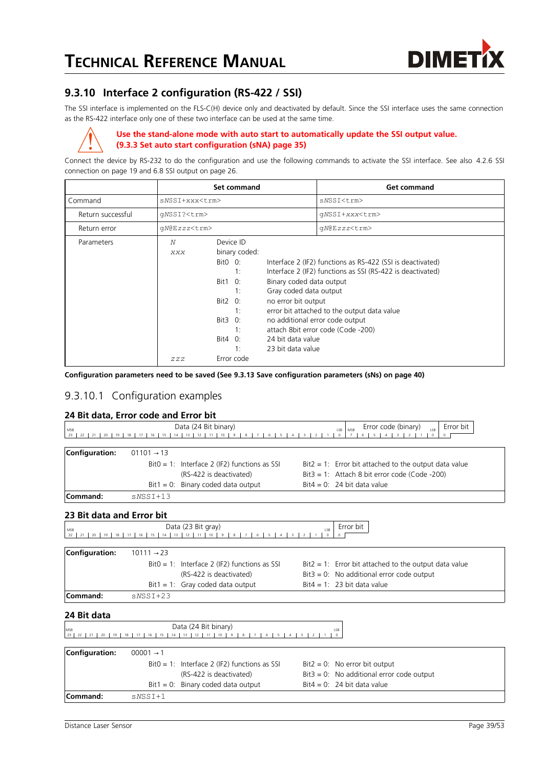

#### <span id="page-38-0"></span>**9.3.10 Interface 2 configuration (RS-422 / SSI)**

The SSI interface is implemented on the FLS-C(H) device only and deactivated by default. Since the SSI interface uses the same connection as the RS-422 interface only one of these two interface can be used at the same time.



#### **Use the stand-alone mode with auto start to automatically update the SSI output value. [\(9.3.3](#page-34-1) [Set auto start configuration \(sNA\)](#page-34-1) page [35\)](#page-34-1)**

Connect the device by RS-232 to do the configuration and use the following commands to activate the SSI interface. See also [4.2.6](#page-18-0) [SSI](#page-18-0) [connection](#page-18-0) on page [19](#page-18-0) and [6.8](#page-25-0) [SSI output](#page-25-0) on page [26.](#page-25-0)

|                   |                       | <b>Set command</b>                                                                                                                        |                                                                                                                     | <b>Get command</b>                                                                                                                                                                                                                               |
|-------------------|-----------------------|-------------------------------------------------------------------------------------------------------------------------------------------|---------------------------------------------------------------------------------------------------------------------|--------------------------------------------------------------------------------------------------------------------------------------------------------------------------------------------------------------------------------------------------|
| Command           | sNSSI+xxx <trm></trm> |                                                                                                                                           |                                                                                                                     | sNSSI <trm></trm>                                                                                                                                                                                                                                |
| Return successful | qNSSI? <trm></trm>    |                                                                                                                                           |                                                                                                                     | qNSSI+xxx <trm></trm>                                                                                                                                                                                                                            |
| Return error      | qN@Ezzz <trm></trm>   |                                                                                                                                           |                                                                                                                     | qN@Ezzz <trm></trm>                                                                                                                                                                                                                              |
| Parameters        | N<br>XXX<br>ZZZ       | Device ID<br>binary coded:<br>$BitO$ $O$ :<br>1:<br>Bit 1<br>O:<br>1:<br>Bit2 0:<br>1:<br>Bit3 0:<br>1:<br>Bit4 $0$ :<br>1:<br>Error code | Binary coded data output<br>Gray coded data output<br>no error bit output<br>24 bit data value<br>23 bit data value | Interface 2 (IF2) functions as RS-422 (SSI is deactivated)<br>Interface 2 (IF2) functions as SSI (RS-422 is deactivated)<br>error bit attached to the output data value<br>no additional error code output<br>attach 8bit error code (Code -200) |

**Configuration parameters need to be saved (See [9.3.13](#page-39-1) [Save configuration parameters \(sNs\)](#page-39-1) on page [40\)](#page-39-1)**

#### 9.3.10.1 Configuration examples

#### **24 Bit data, Error code and Error bit**

| MSB<br>23       | 14                     | Data (24 Bit binary)<br>$12$ 11<br>13           | Error code (binary)<br>Error bit<br>I SB<br>MSB<br>LSB   |  |
|-----------------|------------------------|-------------------------------------------------|----------------------------------------------------------|--|
| Configuration:  | $01101 \rightarrow 13$ |                                                 |                                                          |  |
|                 |                        | $Bit0 = 1$ : Interface 2 (IF2) functions as SSI | $Bit2 = 1$ : Error bit attached to the output data value |  |
|                 |                        | (RS-422 is deactivated)                         | $Bit3 = 1$ : Attach 8 bit error code (Code -200)         |  |
|                 |                        | $Bit1 = 0$ : Binary coded data output           | $Bit4 = 0$ : 24 bit data value                           |  |
| <b>Command:</b> | $SNSSI+13$             |                                                 |                                                          |  |

#### **23 Bit data and Error bit**

| 25 DIL UALA ANU ENUI DIL |                                                          |                                                 |           |                                                          |  |  |  |
|--------------------------|----------------------------------------------------------|-------------------------------------------------|-----------|----------------------------------------------------------|--|--|--|
| MSB                      |                                                          | Data (23 Bit gray)                              | Error bit |                                                          |  |  |  |
| 19<br>22<br>20           | LSB<br>10 <sup>1</sup><br>16<br>12<br>13<br>$\mathbf{q}$ |                                                 |           |                                                          |  |  |  |
| Configuration:           | $10111 \rightarrow 23$                                   |                                                 |           |                                                          |  |  |  |
|                          |                                                          | $Bit0 = 1$ : Interface 2 (IF2) functions as SSI |           | $Bit2 = 1$ : Error bit attached to the output data value |  |  |  |
|                          |                                                          | (RS-422 is deactivated)                         |           | $Bit3 = 0$ : No additional error code output             |  |  |  |
|                          |                                                          | $Bit1 = 1$ : Gray coded data output             |           | Bit4 = 1: 23 bit data value                              |  |  |  |
| Command:                 | $SNSST+23$                                               |                                                 |           |                                                          |  |  |  |
| 24 Bit data              |                                                          |                                                 |           |                                                          |  |  |  |
| MSB                      |                                                          | Data (24 Bit binary)                            |           | LSB                                                      |  |  |  |

| Configuration: | $00001 \rightarrow 1$ |                                                 |                                              |
|----------------|-----------------------|-------------------------------------------------|----------------------------------------------|
|                |                       | $Bit0 = 1$ : Interface 2 (IF2) functions as SSI | $Bit2 = 0$ : No error bit output             |
|                |                       | (RS-422 is deactivated)                         | $Bit3 = 0$ : No additional error code output |
|                |                       | $Bit1 = 0$ : Binary coded data output           | $Bit4 = 0: 24 bit data value$                |
| Command:       | $SNSSI+1$             |                                                 |                                              |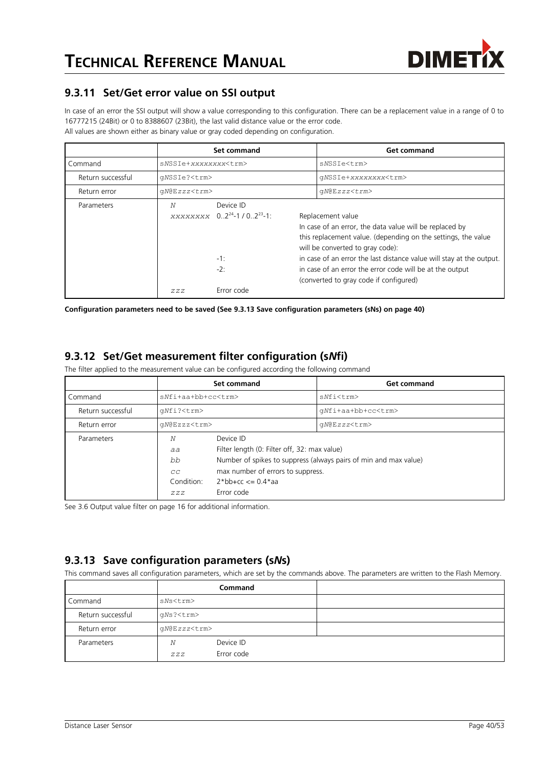

#### **9.3.11 Set/Get error value on SSI output**

In case of an error the SSI output will show a value corresponding to this configuration. There can be a replacement value in a range of 0 to 16777215 (24Bit) or 0 to 8388607 (23Bit), the last valid distance value or the error code. All values are shown either as binary value or gray coded depending on configuration.

|                   |                             | Set command                                                                 | <b>Get command</b>                                                                                                                                                                                                                                                                                                                                              |
|-------------------|-----------------------------|-----------------------------------------------------------------------------|-----------------------------------------------------------------------------------------------------------------------------------------------------------------------------------------------------------------------------------------------------------------------------------------------------------------------------------------------------------------|
| Command           | sNSSIe+xxxxxxxx <trm></trm> |                                                                             | sNSSIe <trm></trm>                                                                                                                                                                                                                                                                                                                                              |
| Return successful | qNSSIe? <trm></trm>         |                                                                             | qNSSIe+xxxxxxxx <trm></trm>                                                                                                                                                                                                                                                                                                                                     |
| Return error      | qN@Ezzz <trm></trm>         |                                                                             | $qN@Ezzz<\tau$ rm>                                                                                                                                                                                                                                                                                                                                              |
| Parameters        | N                           | Device ID<br>XXXXXXXX $0.2^{24}$ -1/0.2 <sup>23</sup> -1:<br>$-1:$<br>$-2:$ | Replacement value<br>In case of an error, the data value will be replaced by<br>this replacement value. (depending on the settings, the value<br>will be converted to gray code):<br>in case of an error the last distance value will stay at the output.<br>in case of an error the error code will be at the output<br>(converted to gray code if configured) |
|                   | ZZZ                         | Error code                                                                  |                                                                                                                                                                                                                                                                                                                                                                 |

**Configuration parameters need to be saved (See [9.3.13](#page-39-1) [Save configuration parameters \(sNs\)](#page-39-1) on page [40\)](#page-39-1)**

#### <span id="page-39-0"></span>**9.3.12 Set/Get measurement filter configuration (s***N***fi)**

The filter applied to the measurement value can be configured according the following command

|                   | Set command                              |                                                                                                                                            | <b>Get command</b>                                               |
|-------------------|------------------------------------------|--------------------------------------------------------------------------------------------------------------------------------------------|------------------------------------------------------------------|
| Command           | $sNf1+aA+bb+cc< t.$                      |                                                                                                                                            | sNfi <trm></trm>                                                 |
| Return successful | qNfi? <trm></trm>                        |                                                                                                                                            | qNfi+aa+bb+cc <trm></trm>                                        |
| Return error      | qN@Ezzz <trm></trm>                      |                                                                                                                                            | qN@Ezzz <trm></trm>                                              |
| Parameters        | N<br>aa<br>bb<br>CC<br>Condition:<br>ZZZ | Device ID<br>Filter length (0: Filter off, 32: max value)<br>max number of errors to suppress.<br>$2 * bh + cc \le 0.4 * aa$<br>Error code | Number of spikes to suppress (always pairs of min and max value) |

See [3.6](#page-15-0) [Output value filter](#page-15-0) on page [16](#page-15-0) for additional information.

#### <span id="page-39-1"></span>**9.3.13 Save configuration parameters (s***N***s)**

This command saves all configuration parameters, which are set by the commands above. The parameters are written to the Flash Memory.

|                   |                     | <b>Command</b>          |  |
|-------------------|---------------------|-------------------------|--|
| Command           | sNs <trm></trm>     |                         |  |
| Return successful | qNs? <trm></trm>    |                         |  |
| Return error      | qN@Ezzz <trm></trm> |                         |  |
| Parameters        | N<br>ZZZ            | Device ID<br>Error code |  |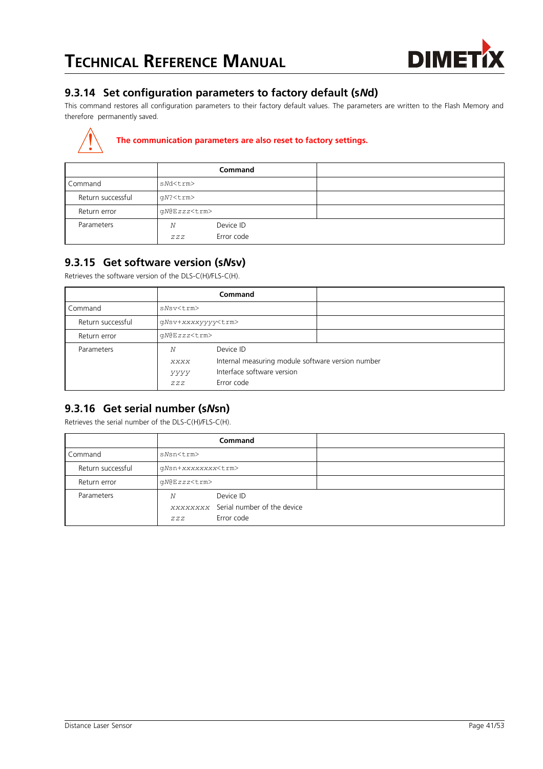

#### **9.3.14 Set configuration parameters to factory default (s***N***d)**

This command restores all configuration parameters to their factory default values. The parameters are written to the Flash Memory and therefore permanently saved.

#### **The communication parameters are also reset to factory settings.**

|                   |                     | Command                 |  |
|-------------------|---------------------|-------------------------|--|
| Command           | sNd <trm></trm>     |                         |  |
| Return successful | gN? <trm></trm>     |                         |  |
| Return error      | gN@Ezzz <trm></trm> |                         |  |
| Parameters        | N<br>ZZZ            | Device ID<br>Error code |  |

#### <span id="page-40-0"></span>**9.3.15 Get software version (s***N***sv)**

Retrieves the software version of the DLS-C(H)/FLS-C(H).

|                   |                           | <b>Command</b>                                                                                             |  |
|-------------------|---------------------------|------------------------------------------------------------------------------------------------------------|--|
| Command           | sNsv <trm></trm>          |                                                                                                            |  |
| Return successful | qNsv+xxxxyyyy <trm></trm> |                                                                                                            |  |
| Return error      | qN@Ezzz <trm></trm>       |                                                                                                            |  |
| Parameters        | N<br>XXXX<br>yyyy<br>ZZZ  | Device ID<br>Internal measuring module software version number<br>Interface software version<br>Error code |  |

#### **9.3.16 Get serial number (s***N***sn)**

Retrieves the serial number of the DLS-C(H)/FLS-C(H).

|                   |                           | <b>Command</b>                                                  |  |
|-------------------|---------------------------|-----------------------------------------------------------------|--|
| Command           | sNsn <trm></trm>          |                                                                 |  |
| Return successful | qNsn+xxxxxxxx <trm></trm> |                                                                 |  |
| Return error      | qN@Ezzz <trm></trm>       |                                                                 |  |
| Parameters        | N<br>ZZZ                  | Device ID<br>xxxxxxxx Serial number of the device<br>Error code |  |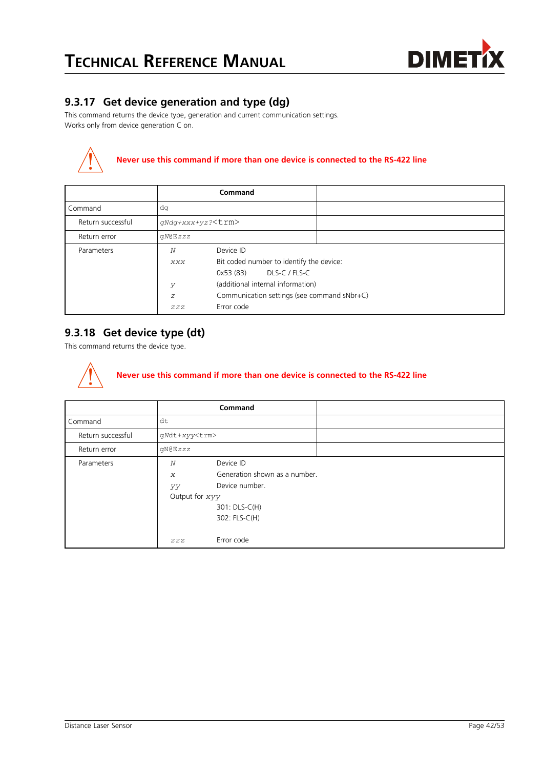

#### **9.3.17 Get device generation and type (dg)**

This command returns the device type, generation and current communication settings. Works only from device generation C on.



### **Never use this command if more than one device is connected to the RS-422 line**

|                   |                     | Command                                     |               |  |
|-------------------|---------------------|---------------------------------------------|---------------|--|
| Command           | dq                  |                                             |               |  |
| Return successful | qNdq+xxx+yz? < trm> |                                             |               |  |
| Return error      | QN@EZZZ             |                                             |               |  |
| Parameters        | N                   | Device ID                                   |               |  |
|                   | XXX                 | Bit coded number to identify the device:    |               |  |
|                   |                     | 0x53(83)                                    | DLS-C / FLS-C |  |
|                   | У                   | (additional internal information)           |               |  |
|                   | Ζ                   | Communication settings (see command sNbr+C) |               |  |
|                   | ZZZ                 | Error code                                  |               |  |

#### **9.3.18 Get device type (dt)**

This command returns the device type.

# **Never use this command if more than one device is connected to the RS-422 line**

|                   |                                               | Command                                                                       |  |
|-------------------|-----------------------------------------------|-------------------------------------------------------------------------------|--|
| Command           | dt                                            |                                                                               |  |
| Return successful | qNdt+xyy <trm></trm>                          |                                                                               |  |
| Return error      | qN@Ezzz                                       |                                                                               |  |
| Parameters        | N<br>$\boldsymbol{X}$<br>УУ<br>Output for xyy | Device ID<br>Generation shown as a number.<br>Device number.<br>301: DLS-C(H) |  |
|                   | ZZZ                                           | 302: FLS-C(H)<br>Error code                                                   |  |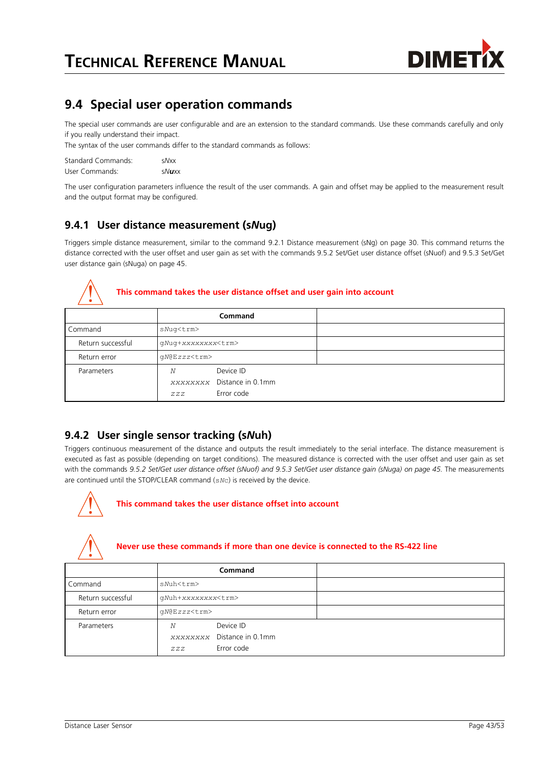

## <span id="page-42-0"></span>**9.4 Special user operation commands**

The special user commands are user configurable and are an extension to the standard commands. Use these commands carefully and only if you really understand their impact.

The syntax of the user commands differ to the standard commands as follows:

| Standard Commands: | sNxx  |
|--------------------|-------|
| User Commands:     | sNuxx |

The user configuration parameters influence the result of the user commands. A gain and offset may be applied to the measurement result and the output format may be configured.

#### **9.4.1 User distance measurement (s***N***ug)**

Triggers simple distance measurement, similar to the command [9.2.1](#page-29-1) [Distance measurement \(sNg\)](#page-29-1) on page [30.](#page-29-1) This command returns the distance corrected with the user offset and user gain as set with the commands [9.5.2](#page-44-1) [Set/Get user distance offset \(sNuof\)](#page-44-1) and [9.5.3](#page-44-0) [Set/Get](#page-44-0) [user distance gain \(sNuga\)](#page-44-0) on page [45.](#page-44-0)



#### **This command takes the user distance offset and user gain into account**

|                   |                           | <b>Command</b>                                        |  |
|-------------------|---------------------------|-------------------------------------------------------|--|
| Command           | sNug <trm></trm>          |                                                       |  |
| Return successful | qNuq+xxxxxxxx <trm></trm> |                                                       |  |
| Return error      | qN@Ezzz <trm></trm>       |                                                       |  |
| Parameters        | Ν<br>ZZZ                  | Device ID<br>xxxxxxxx Distance in 0.1mm<br>Error code |  |

#### **9.4.2 User single sensor tracking (s***N***uh)**

Triggers continuous measurement of the distance and outputs the result immediately to the serial interface. The distance measurement is executed as fast as possible (depending on target conditions). The measured distance is corrected with the user offset and user gain as set with the commands *[9.5.2](#page-44-1) [Set/Get user distance offset \(sNuof\)](#page-44-1) and [9.5.3](#page-44-0) [Set/Get user distance gain \(sNuga\)](#page-44-0) on page [45.](#page-44-0)* The measurements are continued until the STOP/CLEAR command (s*N*c) is received by the device.



#### **This command takes the user distance offset into account**



#### **Never use these commands if more than one device is connected to the RS-422 line**

|                   |                           | Command                                               |  |
|-------------------|---------------------------|-------------------------------------------------------|--|
| Command           | sNuh <trm></trm>          |                                                       |  |
| Return successful | qNuh+xxxxxxxx <trm></trm> |                                                       |  |
| Return error      | qN@Ezzz <trm></trm>       |                                                       |  |
| Parameters        | N<br>ZZZ                  | Device ID<br>xxxxxxxx Distance in 0.1mm<br>Error code |  |
|                   |                           |                                                       |  |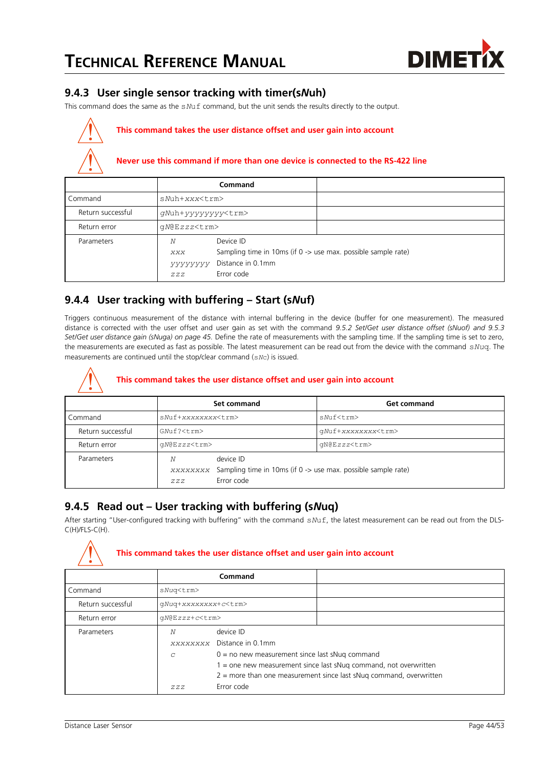

#### **9.4.3 User single sensor tracking with timer(s***N***uh)**

This command does the same as the s*N*uf command, but the unit sends the results directly to the output.

#### **This command takes the user distance offset and user gain into account**

#### **Never use this command if more than one device is connected to the RS-422 line**

|                   |                            | Command                                                                                                       |  |
|-------------------|----------------------------|---------------------------------------------------------------------------------------------------------------|--|
| Command           | $sNuh+xxx<\t{tm}$          |                                                                                                               |  |
| Return successful | qNuh+yyyyyyyy <trm></trm>  |                                                                                                               |  |
| Return error      | qN@Ezzz <trm></trm>        |                                                                                                               |  |
| Parameters        | Ν<br>XXX<br>УУУУУУУ<br>ZZZ | Device ID<br>Sampling time in 10ms (if 0 -> use max. possible sample rate)<br>Distance in 0.1mm<br>Error code |  |

#### **9.4.4 User tracking with buffering – Start (s***N***uf)**

Triggers continuous measurement of the distance with internal buffering in the device (buffer for one measurement). The measured distance is corrected with the user offset and user gain as set with the command *[9.5.2](#page-44-1) [Set/Get user distance offset \(sNuof\)](#page-44-1) and [9.5.3](#page-44-0) [Set/Get user distance gain \(sNuga\)](#page-44-0) on page [45.](#page-44-0)* Define the rate of measurements with the sampling time. If the sampling time is set to zero, the measurements are executed as fast as possible. The latest measurement can be read out from the device with the command s*Nu*q. The measurements are continued until the stop/clear command (s*N*c) is issued.

#### **This command takes the user distance offset and user gain into account**

|                   | Set command                                                                                                   |  | <b>Get command</b>        |  |
|-------------------|---------------------------------------------------------------------------------------------------------------|--|---------------------------|--|
| Command           | sNuf+xxxxxxxx <trm></trm>                                                                                     |  | sNuf <trm></trm>          |  |
| Return successful | GMuf? <t.rm></t.rm>                                                                                           |  | qNuf+xxxxxxxx <trm></trm> |  |
| Return error      | gN@Ezzz <trm></trm>                                                                                           |  | qN@Ezzz <trm></trm>       |  |
| Parameters        | device ID<br>N<br>xxxxxxxx Sampling time in 10ms (if 0 -> use max. possible sample rate)<br>Error code<br>ZZZ |  |                           |  |

#### **9.4.5 Read out – User tracking with buffering (s***N***uq)**

After starting "User-configured tracking with buffering" with the command s*N*uf, the latest measurement can be read out from the DLS-C(H)/FLS-C(H).



#### **This command takes the user distance offset and user gain into account**

|                   |                             | Command                                                              |  |
|-------------------|-----------------------------|----------------------------------------------------------------------|--|
| Command           | sNuq <trm></trm>            |                                                                      |  |
| Return successful | qNuq+xxxxxxxx+c <trm></trm> |                                                                      |  |
| Return error      | qN@Ezzz+c <trm></trm>       |                                                                      |  |
| Parameters        | N                           | device ID                                                            |  |
|                   |                             | xxxxxxxx Distance in 0.1mm                                           |  |
|                   | C                           | $0 =$ no new measurement since last sNuq command                     |  |
|                   |                             | $1 =$ one new measurement since last sNug command, not overwritten   |  |
|                   |                             | $2$ = more than one measurement since last sNug command, overwritten |  |
|                   | ZZZ                         | Error code                                                           |  |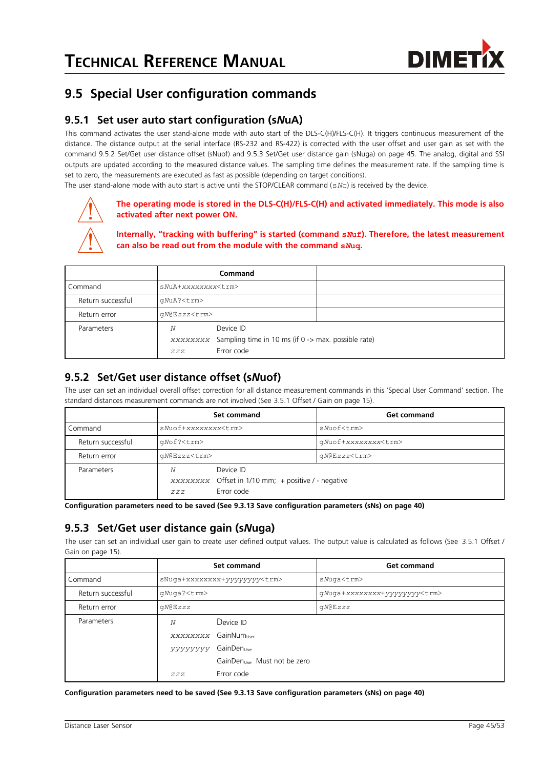

## **9.5 Special User configuration commands**

#### **9.5.1 Set user auto start configuration (s***N***uA)**

This command activates the user stand-alone mode with auto start of the DLS-C(H)/FLS-C(H). It triggers continuous measurement of the distance. The distance output at the serial interface (RS-232 and RS-422) is corrected with the user offset and user gain as set with the command [9.5.2](#page-44-1) [Set/Get user distance offset \(sNuof\)](#page-44-1) and [9.5.3](#page-44-0) [Set/Get user distance gain \(sNuga\)](#page-44-0) on page [45.](#page-44-0) The analog, digital and SSI outputs are updated according to the measured distance values. The sampling time defines the measurement rate. If the sampling time is set to zero, the measurements are executed as fast as possible (depending on target conditions).

The user stand-alone mode with auto start is active until the STOP/CLEAR command (s*N*c) is received by the device.



#### **The operating mode is stored in the DLS-C(H)/FLS-C(H) and activated immediately. This mode is also activated after next power ON.**

**Internally, "tracking with buffering" is started (command s***N***uf). Therefore, the latest measurement can also be read out from the module with the command s***N***uq.**

|                   |                           | Command                                                                                 |  |
|-------------------|---------------------------|-----------------------------------------------------------------------------------------|--|
| Command           | sNuA+xxxxxxxx <trm></trm> |                                                                                         |  |
| Return successful | qNuA? <trm></trm>         |                                                                                         |  |
| Return error      | $qN@Ezzz<\tau$ rm>        |                                                                                         |  |
| Parameters        | N<br>ZZZ                  | Device ID<br>xxxxxxxx Sampling time in 10 ms (if 0 -> max. possible rate)<br>Error code |  |

#### <span id="page-44-1"></span>**9.5.2 Set/Get user distance offset (s***N***uof)**

The user can set an individual overall offset correction for all distance measurement commands in this 'Special User Command' section. The standard distances measurement commands are not involved (See [3.5.1](#page-14-0) [Offset / Gain](#page-14-0) on page [15\)](#page-14-0).

|                   | Set command                                                                                |  | <b>Get command</b>         |
|-------------------|--------------------------------------------------------------------------------------------|--|----------------------------|
| Command           | sNuof+xxxxxxxx <trm></trm>                                                                 |  | sNuof <trm></trm>          |
| Return successful | qNof? <trm></trm>                                                                          |  | qNuof+xxxxxxxx <trm></trm> |
| Return error      | qN@Ezzz <trm></trm>                                                                        |  | qN@Ezzz <trm></trm>        |
| Parameters        | Device ID<br>N<br>xxxxxxxx Offset in 1/10 mm; + positive / - negative<br>Error code<br>ZZZ |  |                            |

**Configuration parameters need to be saved (See [9.3.13](#page-39-1) [Save configuration parameters \(sNs\)](#page-39-1) on page [40\)](#page-39-1)**

#### <span id="page-44-0"></span>**9.5.3 Set/Get user distance gain (s***N***uga)**

The user can set an individual user gain to create user defined output values. The output value is calculated as follows (See [3.5.1](#page-14-0) [Offset /](#page-14-0) [Gain](#page-14-0) on page [15\)](#page-14-0).

|                   | Set command                              |                                     | <b>Get command</b>                  |
|-------------------|------------------------------------------|-------------------------------------|-------------------------------------|
| Command           |                                          | sNuqa+xxxxxxxx+yyyyyyyy <trm></trm> | sNuga <trm></trm>                   |
| Return successful | qNuga? <trm></trm>                       |                                     | qNuqa+xxxxxxxx+yyyyyyyy <trm></trm> |
| Return error      | QN@EZZZ                                  |                                     | qN@Ezzz                             |
| Parameters        | Device ID<br>N                           |                                     |                                     |
|                   | XXXXXXXX GainNum                         |                                     |                                     |
|                   | GainDen<br>yyyyyyy                       |                                     |                                     |
|                   | GainDen <sub>User</sub> Must not be zero |                                     |                                     |
|                   | ZZZ                                      | Error code                          |                                     |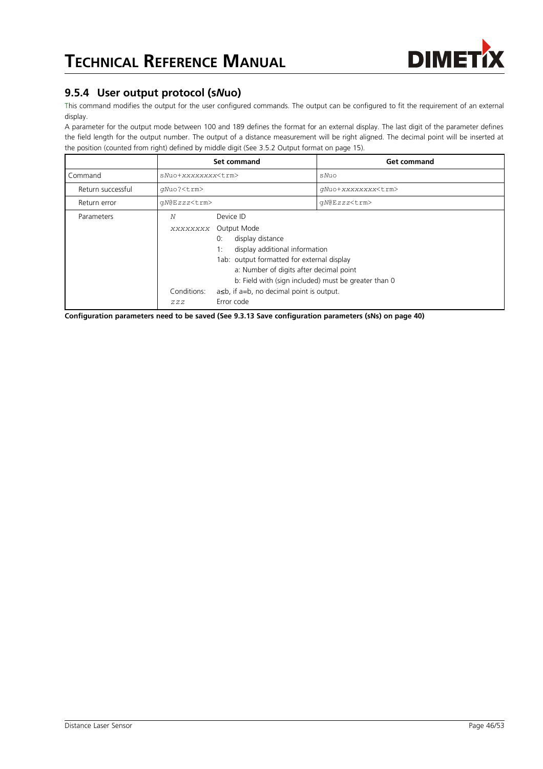

#### <span id="page-45-0"></span>**9.5.4 User output protocol (s***N***uo)**

This command modifies the output for the user configured commands. The output can be configured to fit the requirement of an external display.

A parameter for the output mode between 100 and 189 defines the format for an external display. The last digit of the parameter defines the field length for the output number. The output of a distance measurement will be right aligned. The decimal point will be inserted at the position (counted from right) defined by middle digit (See [3.5.2](#page-14-1) [Output format](#page-14-1) on page [15\)](#page-14-1).

|                   | Set command                         |                                                                                                                                                                                                                                                                                                                    | <b>Get command</b>        |
|-------------------|-------------------------------------|--------------------------------------------------------------------------------------------------------------------------------------------------------------------------------------------------------------------------------------------------------------------------------------------------------------------|---------------------------|
| Command           | sNuo+xxxxxxxx <trm></trm>           |                                                                                                                                                                                                                                                                                                                    | sNuo                      |
| Return successful | qNuo? <trm></trm>                   |                                                                                                                                                                                                                                                                                                                    | gNuo+xxxxxxxx <trm></trm> |
| Return error      | qN@Ezzz <trm></trm>                 |                                                                                                                                                                                                                                                                                                                    | qN@Ezzz <trm></trm>       |
| Parameters        | Ν<br>XXXXXXXX<br>Conditions:<br>ZZZ | Device ID<br>Output Mode<br>display distance<br>0:<br>display additional information<br>1:<br>1ab: output formatted for external display<br>a: Number of digits after decimal point<br>b: Field with (sign included) must be greater than 0<br>$a \leq b$ , if $a = b$ , no decimal point is output.<br>Error code |                           |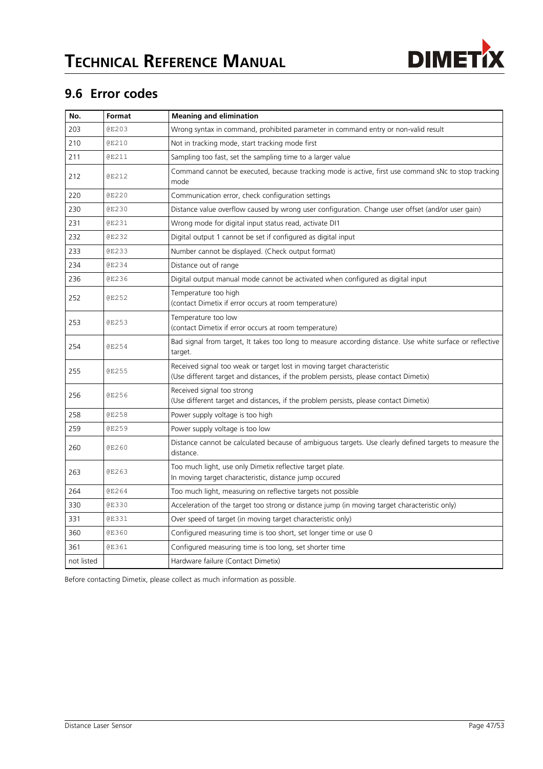

## **9.6 Error codes**

| No.        | Format       | <b>Meaning and elimination</b>                                                                                                                                   |
|------------|--------------|------------------------------------------------------------------------------------------------------------------------------------------------------------------|
| 203        | <b>@E203</b> | Wrong syntax in command, prohibited parameter in command entry or non-valid result                                                                               |
| 210        | <b>@E210</b> | Not in tracking mode, start tracking mode first                                                                                                                  |
| 211        | @E211        | Sampling too fast, set the sampling time to a larger value                                                                                                       |
| 212        | <b>@E212</b> | Command cannot be executed, because tracking mode is active, first use command sNc to stop tracking<br>mode                                                      |
| 220        | <b>@E220</b> | Communication error, check configuration settings                                                                                                                |
| 230        | <b>@E230</b> | Distance value overflow caused by wrong user configuration. Change user offset (and/or user gain)                                                                |
| 231        | <b>@E231</b> | Wrong mode for digital input status read, activate DI1                                                                                                           |
| 232        | <b>@E232</b> | Digital output 1 cannot be set if configured as digital input                                                                                                    |
| 233        | <b>@E233</b> | Number cannot be displayed. (Check output format)                                                                                                                |
| 234        | <b>@E234</b> | Distance out of range                                                                                                                                            |
| 236        | <b>@E236</b> | Digital output manual mode cannot be activated when configured as digital input                                                                                  |
| 252        | <b>@E252</b> | Temperature too high<br>(contact Dimetix if error occurs at room temperature)                                                                                    |
| 253        | <b>@E253</b> | Temperature too low<br>(contact Dimetix if error occurs at room temperature)                                                                                     |
| 254        | <b>@E254</b> | Bad signal from target, It takes too long to measure according distance. Use white surface or reflective<br>target.                                              |
| 255        | <b>@E255</b> | Received signal too weak or target lost in moving target characteristic<br>(Use different target and distances, if the problem persists, please contact Dimetix) |
| 256        | <b>@E256</b> | Received signal too strong<br>(Use different target and distances, if the problem persists, please contact Dimetix)                                              |
| 258        | <b>@E258</b> | Power supply voltage is too high                                                                                                                                 |
| 259        | <b>@E259</b> | Power supply voltage is too low                                                                                                                                  |
| 260        | <b>@E260</b> | Distance cannot be calculated because of ambiguous targets. Use clearly defined targets to measure the<br>distance.                                              |
| 263        | <b>@E263</b> | Too much light, use only Dimetix reflective target plate.<br>In moving target characteristic, distance jump occured                                              |
| 264        | <b>@E264</b> | Too much light, measuring on reflective targets not possible                                                                                                     |
| 330        | <b>@E330</b> | Acceleration of the target too strong or distance jump (in moving target characteristic only)                                                                    |
| 331        | <b>@E331</b> | Over speed of target (in moving target characteristic only)                                                                                                      |
| 360        | <b>@E360</b> | Configured measuring time is too short, set longer time or use 0                                                                                                 |
| 361        | <b>@E361</b> | Configured measuring time is too long, set shorter time                                                                                                          |
| not listed |              | Hardware failure (Contact Dimetix)                                                                                                                               |

Before contacting Dimetix, please collect as much information as possible.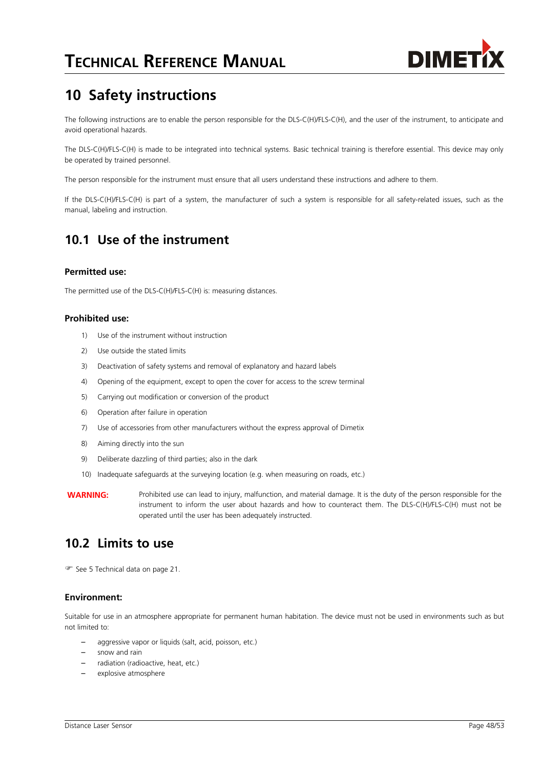

# **10 Safety instructions**

The following instructions are to enable the person responsible for the DLS-C(H)/FLS-C(H), and the user of the instrument, to anticipate and avoid operational hazards.

The DLS-C(H)/FLS-C(H) is made to be integrated into technical systems. Basic technical training is therefore essential. This device may only be operated by trained personnel.

The person responsible for the instrument must ensure that all users understand these instructions and adhere to them.

If the DLS-C(H)/FLS-C(H) is part of a system, the manufacturer of such a system is responsible for all safety-related issues, such as the manual, labeling and instruction.

### **10.1 Use of the instrument**

#### **Permitted use:**

The permitted use of the DLS-C(H)/FLS-C(H) is: measuring distances.

#### **Prohibited use:**

- 1) Use of the instrument without instruction
- 2) Use outside the stated limits
- 3) Deactivation of safety systems and removal of explanatory and hazard labels
- 4) Opening of the equipment, except to open the cover for access to the screw terminal
- 5) Carrying out modification or conversion of the product
- 6) Operation after failure in operation
- 7) Use of accessories from other manufacturers without the express approval of Dimetix
- 8) Aiming directly into the sun
- 9) Deliberate dazzling of third parties; also in the dark
- 10) Inadequate safeguards at the surveying location (e.g. when measuring on roads, etc.)
- **WARNING:** Prohibited use can lead to injury, malfunction, and material damage. It is the duty of the person responsible for the instrument to inform the user about hazards and how to counteract them. The DLS-C(H)/FLS-C(H) must not be operated until the user has been adequately instructed.

### **10.2 Limits to use**

See [5](#page-20-0) [Technical data](#page-20-0) on page [21.](#page-20-0)

#### **Environment:**

Suitable for use in an atmosphere appropriate for permanent human habitation. The device must not be used in environments such as but not limited to:

- aggressive vapor or liquids (salt, acid, poisson, etc.)
- snow and rain
- radiation (radioactive, heat, etc.)
- explosive atmosphere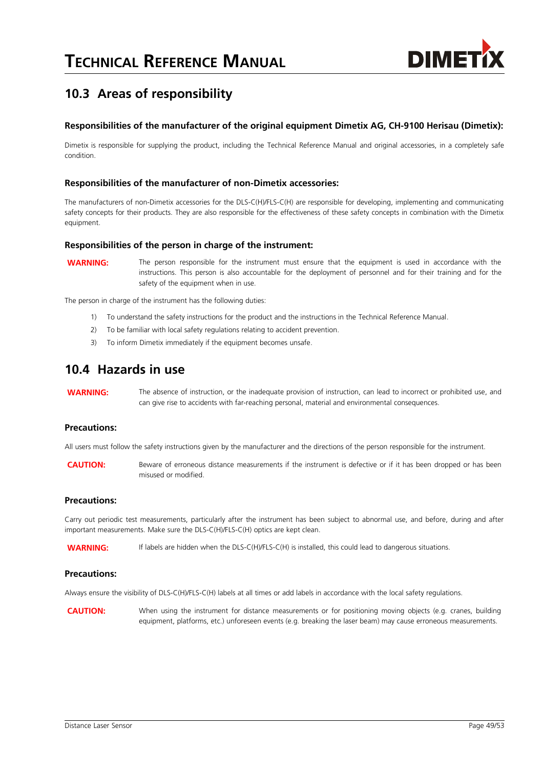

# **10.3 Areas of responsibility**

#### **Responsibilities of the manufacturer of the original equipment Dimetix AG, CH-9100 Herisau (Dimetix):**

Dimetix is responsible for supplying the product, including the Technical Reference Manual and original accessories, in a completely safe condition.

#### **Responsibilities of the manufacturer of non-Dimetix accessories:**

The manufacturers of non-Dimetix accessories for the DLS-C(H)/FLS-C(H) are responsible for developing, implementing and communicating safety concepts for their products. They are also responsible for the effectiveness of these safety concepts in combination with the Dimetix equipment.

#### **Responsibilities of the person in charge of the instrument:**

**WARNING:** The person responsible for the instrument must ensure that the equipment is used in accordance with the instructions. This person is also accountable for the deployment of personnel and for their training and for the safety of the equipment when in use.

The person in charge of the instrument has the following duties:

- 1) To understand the safety instructions for the product and the instructions in the Technical Reference Manual.
- 2) To be familiar with local safety regulations relating to accident prevention.
- 3) To inform Dimetix immediately if the equipment becomes unsafe.

#### **10.4 Hazards in use**

**WARNING:** The absence of instruction, or the inadequate provision of instruction, can lead to incorrect or prohibited use, and can give rise to accidents with far-reaching personal, material and environmental consequences.

#### **Precautions:**

All users must follow the safety instructions given by the manufacturer and the directions of the person responsible for the instrument.

**CAUTION:** Beware of erroneous distance measurements if the instrument is defective or if it has been dropped or has been misused or modified.

#### **Precautions:**

Carry out periodic test measurements, particularly after the instrument has been subject to abnormal use, and before, during and after important measurements. Make sure the DLS-C(H)/FLS-C(H) optics are kept clean.

WARNING: If labels are hidden when the DLS-C(H)/FLS-C(H) is installed, this could lead to dangerous situations.

#### **Precautions:**

Always ensure the visibility of DLS-C(H)/FLS-C(H) labels at all times or add labels in accordance with the local safety regulations.

**CAUTION:** When using the instrument for distance measurements or for positioning moving objects (e.g. cranes, building equipment, platforms, etc.) unforeseen events (e.g. breaking the laser beam) may cause erroneous measurements.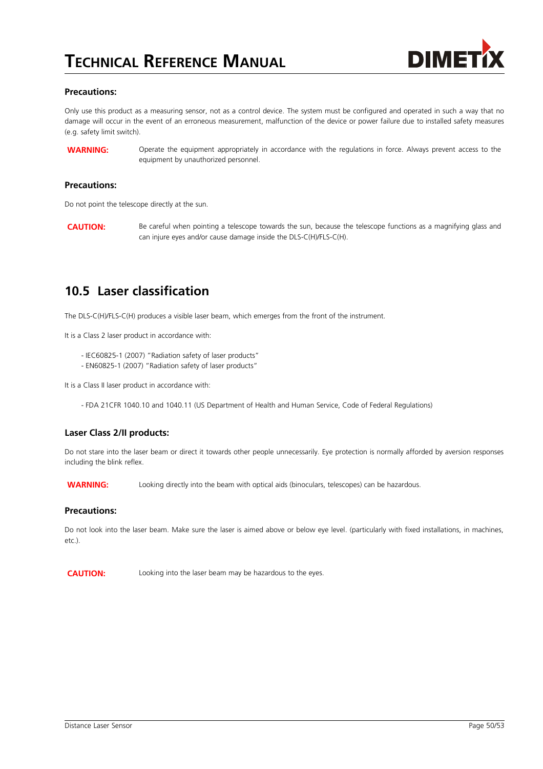

#### **Precautions:**

Only use this product as a measuring sensor, not as a control device. The system must be configured and operated in such a way that no damage will occur in the event of an erroneous measurement, malfunction of the device or power failure due to installed safety measures (e.g. safety limit switch).

**WARNING:** Operate the equipment appropriately in accordance with the regulations in force. Always prevent access to the equipment by unauthorized personnel.

#### **Precautions:**

Do not point the telescope directly at the sun.

**CAUTION:** Be careful when pointing a telescope towards the sun, because the telescope functions as a magnifying glass and can injure eyes and/or cause damage inside the DLS-C(H)/FLS-C(H).

### **10.5 Laser classification**

The DLS-C(H)/FLS-C(H) produces a visible laser beam, which emerges from the front of the instrument.

It is a Class 2 laser product in accordance with:

- IEC60825-1 (2007) "Radiation safety of laser products"
- EN60825-1 (2007) "Radiation safety of laser products"

It is a Class II laser product in accordance with:

- FDA 21CFR 1040.10 and 1040.11 (US Department of Health and Human Service, Code of Federal Regulations)

#### **Laser Class 2/II products:**

Do not stare into the laser beam or direct it towards other people unnecessarily. Eye protection is normally afforded by aversion responses including the blink reflex.

**WARNING:** Looking directly into the beam with optical aids (binoculars, telescopes) can be hazardous.

#### **Precautions:**

Do not look into the laser beam. Make sure the laser is aimed above or below eye level. (particularly with fixed installations, in machines, etc.).

**CAUTION:** Looking into the laser beam may be hazardous to the eyes.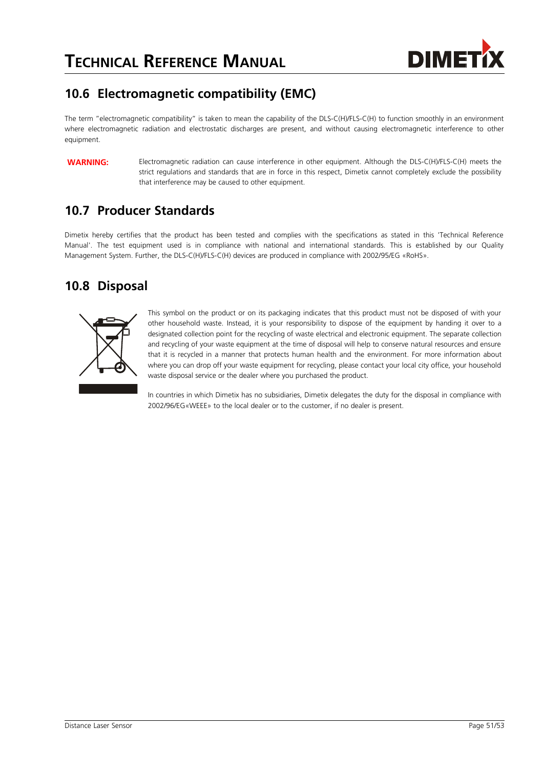

# **10.6 Electromagnetic compatibility (EMC)**

The term "electromagnetic compatibility" is taken to mean the capability of the DLS-C(H)/FLS-C(H) to function smoothly in an environment where electromagnetic radiation and electrostatic discharges are present, and without causing electromagnetic interference to other equipment.

**WARNING:** Electromagnetic radiation can cause interference in other equipment. Although the DLS-C(H)/FLS-C(H) meets the strict regulations and standards that are in force in this respect, Dimetix cannot completely exclude the possibility that interference may be caused to other equipment.

## **10.7 Producer Standards**

Dimetix hereby certifies that the product has been tested and complies with the specifications as stated in this 'Technical Reference Manual'. The test equipment used is in compliance with national and international standards. This is established by our Quality Management System. Further, the DLS-C(H)/FLS-C(H) devices are produced in compliance with 2002/95/EG «RoHS».

## **10.8 Disposal**



This symbol on the product or on its packaging indicates that this product must not be disposed of with your other household waste. Instead, it is your responsibility to dispose of the equipment by handing it over to a designated collection point for the recycling of waste electrical and electronic equipment. The separate collection and recycling of your waste equipment at the time of disposal will help to conserve natural resources and ensure that it is recycled in a manner that protects human health and the environment. For more information about where you can drop off your waste equipment for recycling, please contact your local city office, your household waste disposal service or the dealer where you purchased the product.

In countries in which Dimetix has no subsidiaries, Dimetix delegates the duty for the disposal in compliance with 2002/96/EG«WEEE» to the local dealer or to the customer, if no dealer is present.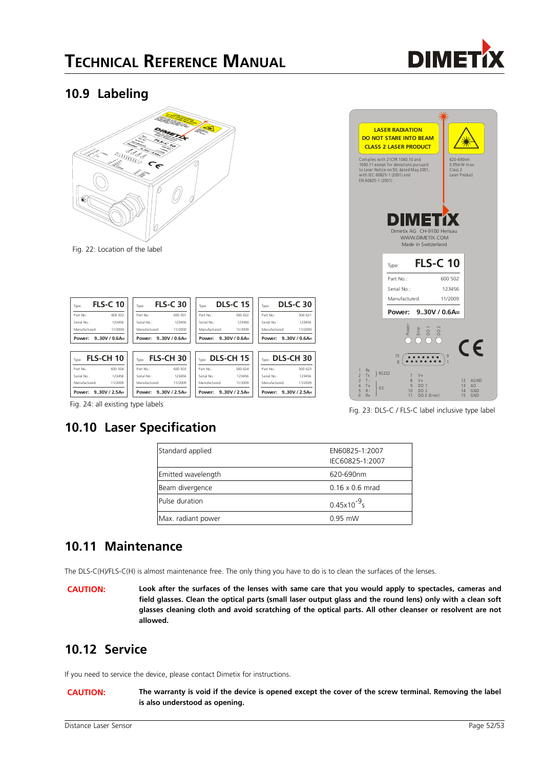

### <span id="page-51-0"></span>**10.9 Labeling**



| Type:                | <b>FLS-C 10</b>  | Type:         | <b>FLS-C 30</b>  | Type:           | <b>DLS-C 15</b> | Type:               | <b>DLS-C 30</b> |
|----------------------|------------------|---------------|------------------|-----------------|-----------------|---------------------|-----------------|
| Part No:             | 600 502          | Part No:      | 600 501          | Part No:        | 500 622         | Part No.:           | 500 621         |
| Serial No.:          | 123456           | Serial No.:   | 123456           | Serial No :     | 123456          | Serial No:          | 123456          |
| Manufactured:        | 11/2009          | Manufactured: | 11/2009          | Manufactured:   | 11/2009         | Manufactured:       | 11/2009         |
| Power:               | $9.30V / 0.6A =$ | Power:        | $9.30V / 0.6A =$ | Power:          | $9.30V/0.6A=$   | Power:              | $9.30V/0.6A=$   |
| Type:                | FLS-CH 10        | Type:         | <b>FLS-CH30</b>  | Tung: DLS-CH 15 |                 | TVDE: DLS-CH 30     |                 |
| Part No:             | 600 504          | Part No:      | 600 503          | Part No :       | 500 624         | Part No :           | 500 623         |
| Serial No :          | 123456           | Serial No :   | 123456           | Serial No :     | 123456          | Serial No:          | 123456          |
| Manufactured:        | 11/2009          | Manufactured: | 11/2009          | Manufactured:   | 11/2009         | Manufactured:       | 11/2009         |
| Power: 9.30V / 2.5A= |                  | Power:        | $9.30V/2.5A=$    | Power:          | $9.30V/2.5A=$   | Power: 930V / 2.5A= |                 |



Fig. 23: DLS-C / FLS-C label inclusive type label

|  | Fig. 24: all existing type labels |  |  |
|--|-----------------------------------|--|--|
|  |                                   |  |  |

# **10.10 Laser Specification**

| Standard applied   | EN60825-1:2007         |
|--------------------|------------------------|
|                    | IEC60825-1:2007        |
| Emitted wavelength | 620-690nm              |
| Beam divergence    | $0.16 \times 0.6$ mrad |
| Pulse duration     | $0.45x10^{-9}$ s       |
| Max. radiant power | $0.95$ mW              |

## **10.11 Maintenance**

The DLS-C(H)/FLS-C(H) is almost maintenance free. The only thing you have to do is to clean the surfaces of the lenses.

**CAUTION: Look after the surfaces of the lenses with same care that you would apply to spectacles, cameras and field glasses. Clean the optical parts (small laser output glass and the round lens) only with a clean soft glasses cleaning cloth and avoid scratching of the optical parts. All other cleanser or resolvent are not allowed.**

## **10.12 Service**

If you need to service the device, please contact Dimetix for instructions.

**CAUTION: The warranty is void if the device is opened except the cover of the screw terminal. Removing the label is also understood as opening.**